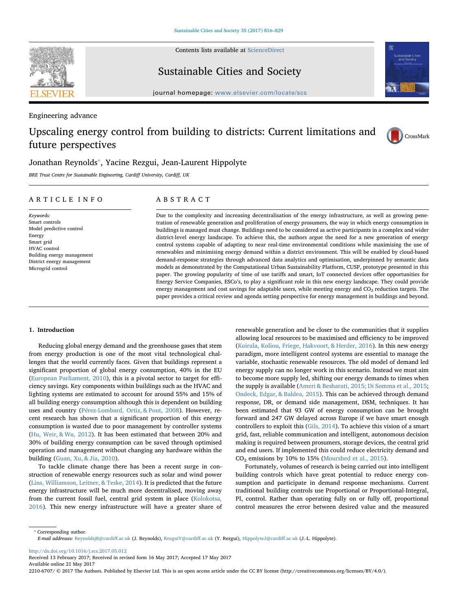Contents lists available at [ScienceDirect](http://www.sciencedirect.com/science/journal/22106707)

**SEVIER** 



Sustainable Cities and Society

 $j<sub>i</sub>$ , where  $i<sub>i</sub>$  is the page of location of location  $s$ 

Engineering advance

# Upscaling energy control from building to districts: Current limitations and future perspectives



# Jonathan Reynolds[⁎](#page-0-0) , Yacine Rezgui, Jean-Laurent Hippolyte

BRE Trust Centre for Sustainable Engineering, Cardiff University, Cardiff, UK

## ARTICLE INFO

Keywords: Smart controls Model predictive control Energy Smart grid HVAC control Building energy management District energy management Microgrid control

## ABSTRACT

Due to the complexity and increasing decentralisation of the energy infrastructure, as well as growing penetration of renewable generation and proliferation of energy prosumers, the way in which energy consumption in buildings is managed must change. Buildings need to be considered as active participants in a complex and wider district-level energy landscape. To achieve this, the authors argue the need for a new generation of energy control systems capable of adapting to near real-time environmental conditions while maximising the use of renewables and minimising energy demand within a district environment. This will be enabled by cloud-based demand-response strategies through advanced data analytics and optimisation, underpinned by semantic data models as demonstrated by the Computational Urban Sustainability Platform, CUSP, prototype presented in this paper. The growing popularity of time of use tariffs and smart, IoT connected devices offer opportunities for Energy Service Companies, ESCo's, to play a significant role in this new energy landscape. They could provide energy management and cost savings for adaptable users, while meeting energy and  $CO<sub>2</sub>$  reduction targets. The paper provides a critical review and agenda setting perspective for energy management in buildings and beyond.

## <span id="page-0-1"></span>1. Introduction

Reducing global energy demand and the greenhouse gases that stem from energy production is one of the most vital technological challenges that the world currently faces. Given that buildings represent a significant proportion of global energy consumption, 40% in the EU ([European Parliament, 2010](#page-12-0)), this is a pivotal sector to target for efficiency savings. Key components within buildings such as the HVAC and lighting systems are estimated to account for around 55% and 15% of all building energy consumption although this is dependent on building uses and country ([Pérez-Lombard, Ortiz, & Pout, 2008](#page-13-0)). However, recent research has shown that a significant proportion of this energy consumption is wasted due to poor management by controller systems ([Hu, Weir, & Wu, 2012](#page-12-1)). It has been estimated that between 20% and 30% of building energy consumption can be saved through optimised operation and management without changing any hardware within the building ([Guan, Xu, & Jia, 2010\)](#page-12-2).

To tackle climate change there has been a recent surge in construction of renewable energy resources such as solar and wind power ([Lins, Williamson, Leitner, & Teske, 2014](#page-12-3)). It is predicted that the future energy infrastructure will be much more decentralised, moving away from the current fossil fuel, central grid system in place ([Kolokotsa,](#page-12-4) [2016\)](#page-12-4). This new energy infrastructure will have a greater share of renewable generation and be closer to the communities that it supplies allowing local resources to be maximised and efficiency to be improved ([Koirala, Koliou, Friege, Hakvoort, & Herder, 2016\)](#page-12-5). In this new energy paradigm, more intelligent control systems are essential to manage the variable, stochastic renewable resources. The old model of demand led energy supply can no longer work in this scenario. Instead we must aim to become more supply led, shifting our energy demands to times when the supply is available [\(Ameri & Besharati, 2015; Di Somma et al., 2015](#page-11-0); [Ondeck, Edgar, & Baldea, 2015\)](#page-13-1). This can be achieved through demand response, DR, or demand side management, DSM, techniques. It has been estimated that 93 GW of energy consumption can be brought forward and 247 GW delayed across Europe if we have smart enough controllers to exploit this [\(Gils, 2014](#page-12-6)). To achieve this vision of a smart grid, fast, reliable communication and intelligent, autonomous decision making is required between prosumers, storage devices, the central grid and end users. If implemented this could reduce electricity demand and CO2 emissions by 10% to 15% ([Mourshed et al., 2015](#page-13-2)).

Fortunately, volumes of research is being carried out into intelligent building controls which have great potential to reduce energy consumption and participate in demand response mechanisms. Current traditional building controls use Proportional or Proportional-Integral, PI, control. Rather than operating fully on or fully off, proportional control measures the error between desired value and the measured

<span id="page-0-0"></span>⁎ Corresponding author. E-mail addresses: [Reynoldsj8@cardi](mailto:Reynoldsj8@cardiff.ac.uk)ff.ac.uk (J. Reynolds), [RezguiY@cardi](mailto:RezguiY@cardiff.ac.uk)ff.ac.uk (Y. Rezgui), [HippolyteJ@cardi](mailto:HippolyteJ@cardiff.ac.uk)ff.ac.uk (J.-L. Hippolyte).

<http://dx.doi.org/10.1016/j.scs.2017.05.012>

Received 13 February 2017; Received in revised form 16 May 2017; Accepted 17 May 2017

Available online 21 May 2017

2210-6707/ © 2017 The Authors. Published by Elsevier Ltd. This is an open access article under the CC BY license (http://creativecommons.org/licenses/BY/4.0/).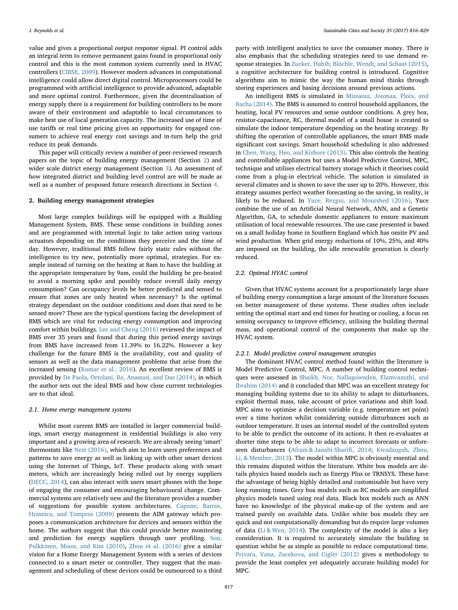value and gives a proportional output response signal. PI control adds an integral term to remove permanent gains found in proportional only control and this is the most common system currently used in HVAC controllers [\(CIBSE, 2009\)](#page-11-1). However modern advances in computational intelligence could allow direct digital control. Microprocessors could be programmed with artificial intelligence to provide advanced, adaptable and more optimal control. Furthermore, given the decentralisation of energy supply there is a requirement for building controllers to be more aware of their environment and adaptable to local circumstances to make best use of local generation capacity. The increased use of time of use tariffs or real time pricing gives an opportunity for engaged consumers to achieve real energy cost savings and in-turn help the grid reduce its peak demands.

This paper will critically review a number of peer-reviewed research papers on the topic of building energy management (Section [2](#page-1-0)) and wider scale district energy management (Section [3](#page-3-0)). An assessment of how integrated district and building level control are will be made as well as a number of proposed future research directions in Section [4](#page-8-0).

#### <span id="page-1-0"></span>2. Building energy management strategies

Most large complex buildings will be equipped with a Building Management System, BMS. These sense conditions in building zones and are programmed with internal logic to take action using various actuators depending on the conditions they perceive and the time of day. However, traditional BMS follow fairly static rules without the intelligence to try new, potentially more optimal, strategies. For example instead of turning on the heating at 8am to have the building at the appropriate temperature by 9am, could the building be pre-heated to avoid a morning spike and possibly reduce overall daily energy consumption? Can occupancy levels be better predicted and sensed to ensure that zones are only heated when necessary? Is the optimal strategy dependant on the outdoor conditions and does that need to be sensed more? These are the typical questions facing the development of BMS which are vital for reducing energy consumption and improving comfort within buildings. [Lee and Cheng \(2016\)](#page-12-7) reviewed the impact of BMS over 35 years and found that during this period energy savings from BMS have increased from 11.39% to 16.22%. However a key challenge for the future BMS is the availability, cost and quality of sensors as well as the data management problems that arise from the increased sensing [\(Kumar et al., 2016\)](#page-12-8). An excellent review of BMS is provided by [De Paola, Ortolani, Re, Anastasi, and Das \(2014\)](#page-12-9), in which the author sets out the ideal BMS and how close current technologies are to that ideal.

#### 2.1. Home energy management systems

Whilst most current BMS are installed in larger commercial buildings, smart energy management in residential buildings is also very important and a growing area of research. We are already seeing 'smart' thermostats like [Nest \(2016\),](#page-13-3) which aim to learn users preferences and patterns to save energy as well as linking up with other smart devices using the Internet of Things, IoT. These products along with smart meters, which are increasingly being rolled out by energy suppliers ([DECC, 2014](#page-12-10)), can also interact with users smart phones with the hope of engaging the consumer and encouraging behavioural change. Commercial systems are relatively new and the literature provides a number of suggestions for possible system architectures. [Capone, Barros,](#page-11-2) [Hrasnica, and Tompros \(2009\)](#page-11-2) presents the AIM gateway which proposes a communication architecture for devices and sensors within the home. The authors suggest that this could provide better monitoring and prediction for energy suppliers through user profiling. [Son,](#page-13-4) [Pulkkinen, Moon, and Kim \(2010\)](#page-13-4), [Zhou et al. \(2016\)](#page-13-5) give a similar vision for a Home Energy Management System with a series of devices connected to a smart meter or controller. They suggest that the management and scheduling of these devices could be outsourced to a third

party with intelligent analytics to save the consumer money. There is also emphasis that the scheduling strategies need to use demand response strategies. In [Zucker, Habib, Blöchle, Wendt, and Schaat \(2015\)](#page-13-6), a cognitive architecture for building control is introduced. Cognitive algorithms aim to mimic the way the human mind thinks through storing experiences and basing decisions around previous actions.

An intelligent BMS is simulated in Missaoui, [Joumaa, Ploix, and](#page-13-7) [Bacha \(2014\).](#page-13-7) The BMS is assumed to control household appliances, the heating, local PV resources and sense outdoor conditions. A grey box, resistor-capacitance, RC, thermal model of a small house is created to simulate the indoor temperature depending on the heating strategy. By shifting the operation of controllable appliances, the smart BMS made significant cost savings. Smart household scheduling is also addressed in [Chen, Wang, Heo, and Kishore \(2013\).](#page-12-11) This also controls the heating and controllable appliances but uses a Model Predictive Control, MPC, technique and utilises electrical battery storage which it theorises could come from a plug-in electrical vehicle. The solution is simulated in several climates and is shown to save the user up to 20%. However, this strategy assumes perfect weather forecasting so the saving, in reality, is likely to be reduced. In [Yuce, Rezgui, and Mourshed \(2016\)](#page-13-8), Yuce combine the use of an Artificial Neural Network, ANN, and a Genetic Algorithm, GA, to schedule domestic appliances to ensure maximum utilisation of local renewable resources. The use case presented is based on a small holiday home in Southern England which has onsite PV and wind production. When grid energy reductions of 10%, 25%, and 40% are imposed on the building, the idle renewable generation is clearly reduced.

## 2.2. Optimal HVAC control

Given that HVAC systems account for a proportionately large share of building energy consumption a large amount of the literature focuses on better management of these systems. These studies often include setting the optimal start and end times for heating or cooling, a focus on sensing occupancy to improve efficiency, utilising the building thermal mass, and operational control of the components that make up the HVAC system.

#### 2.2.1. Model predictive control management strategies

The dominant HVAC control method found within the literature is Model Predictive Control, MPC. A number of building control techniques were assessed in [Shaikh, Nor, Nallagownden, Elamvazuthi, and](#page-13-9) [Ibrahim \(2014\)](#page-13-9) and it concluded that MPC was an excellent strategy for managing building systems due to its ability to adapt to disturbances, exploit thermal mass, take account of price variations and shift load. MPC aims to optimise a decision variable (e.g. temperature set point) over a time horizon whilst considering outside disturbances such as outdoor temperature. It uses an internal model of the controlled system to be able to predict the outcome of its actions. It then re-evaluates at shorter time steps to be able to adapt to incorrect forecasts or unforeseen disturbances [\(Afram & Janabi-Shari](#page-11-3)fi, 2014; [Kwadzogah, Zhou,](#page-12-12) [Li, & Member, 2013\)](#page-12-12). The model within MPC is obviously essential and this remains disputed within the literature. White box models are details physics based models such as Energy Plus or TRNSYS. These have the advantage of being highly detailed and customisable but have very long running times. Grey box models such as RC models are simplified physics models tuned using real data. Black box models such as ANN have no knowledge of the physical make-up of the system and are trained purely on available data. Unlike white box models they are quick and not computationally demanding but do require large volumes of data ([Li & Wen, 2014\)](#page-12-13). The complexity of the model is also a key consideration. It is required to accurately simulate the building in question whilst be as simple as possible to reduce computational time. [Privara, Vana, Zacekova, and Cigler \(2012\)](#page-13-10) gives a methodology to provide the least complex yet adequately accurate building model for MPC.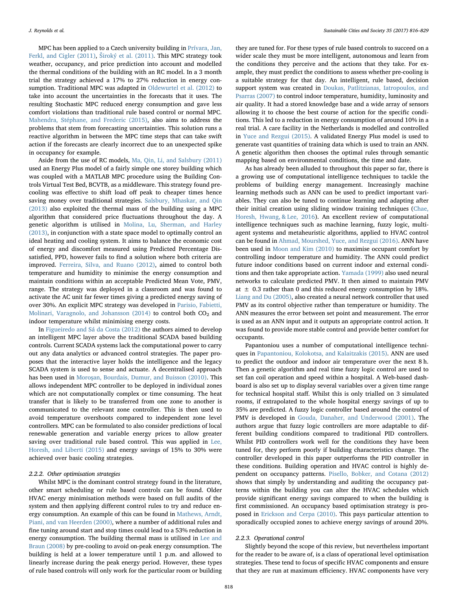MPC has been applied to a Czech university building in [Prívara, Jan,](#page-13-11) [Ferkl, and Cigler \(2011\)](#page-13-11), Š[iroký et al. \(2011\).](#page-13-12) This MPC strategy took weather, occupancy, and price prediction into account and modelled the thermal conditions of the building with an RC model. In a 3 month trial the strategy achieved a 17% to 27% reduction in energy consumption. Traditional MPC was adapted in [Oldewurtel et al. \(2012\)](#page-13-13) to take into account the uncertainties in the forecasts that it uses. The resulting Stochastic MPC reduced energy consumption and gave less comfort violations than traditional rule based control or normal MPC. [Mahendra, Stéphane, and Frederic \(2015\),](#page-12-14) also aims to address the problems that stem from forecasting uncertainties. This solution runs a reactive algorithm in between the MPC time steps that can take swift action if the forecasts are clearly incorrect due to an unexpected spike in occupancy for example.

Aside from the use of RC models, [Ma, Qin, Li, and Salsbury \(2011\)](#page-12-15) used an Energy Plus model of a fairly simple one storey building which was coupled with a MATLAB MPC procedure using the Building Controls Virtual Test Bed, BCVTB, as a middleware. This strategy found precooling was effective to shift load off peak to cheaper times hence saving money over traditional strategies. [Salsbury, Mhaskar, and Qin](#page-13-14) [\(2013\)](#page-13-14) also exploited the thermal mass of the building using a MPC algorithm that considered price fluctuations throughout the day. A genetic algorithm is utilised in [Molina, Lu, Sherman, and Harley](#page-13-15) [\(2013\),](#page-13-15) in conjunction with a state space model to optimally control an ideal heating and cooling system. It aims to balance the economic cost of energy and discomfort measured using Predicted Percentage Dissatisfied, PPD, however fails to find a solution where both criteria are improved. [Ferreira, Silva, and Ruano \(2012\),](#page-12-16) aimed to control both temperature and humidity to minimise the energy consumption and maintain conditions within an acceptable Predicted Mean Vote, PMV, range. The strategy was deployed in a classroom and was found to activate the AC unit far fewer times giving a predicted energy saving of over 30%. An explicit MPC strategy was developed in [Parisio, Fabietti,](#page-13-16) Molinari, Varagnolo, and Johansson  $(2014)$  to control both  $CO<sub>2</sub>$  and indoor temperature whilst minimising energy costs.

In [Figueiredo and Sá da Costa \(2012\)](#page-12-17) the authors aimed to develop an intelligent MPC layer above the traditional SCADA based building controls. Current SCADA systems lack the computational power to carry out any data analytics or advanced control strategies. The paper proposes that the interactive layer holds the intelligence and the legacy SCADA system is used to sense and actuate. A decentralised approach has been used in Moroş[an, Bourdais, Dumur, and Buisson \(2010\).](#page-13-17) This allows independent MPC controller to be deployed in individual zones which are not computationally complex or time consuming. The heat transfer that is likely to be transferred from one zone to another is communicated to the relevant zone controller. This is then used to avoid temperature overshoots compared to independent zone level controllers. MPC can be formulated to also consider predictions of local renewable generation and variable energy prices to allow greater saving over traditional rule based control. This was applied in [Lee,](#page-12-18) [Horesh, and Liberti \(2015\)](#page-12-18) and energy savings of 15% to 30% were achieved over basic cooling strategies.

## 2.2.2. Other optimisation strategies

Whilst MPC is the dominant control strategy found in the literature, other smart scheduling or rule based controls can be found. Older HVAC energy minimisation methods were based on full audits of the system and then applying different control rules to try and reduce energy consumption. An example of this can be found in [Mathews, Arndt,](#page-13-18) [Piani, and van Heerden \(2000\),](#page-13-18) where a number of additional rules and fine tuning around start and stop times could lead to a 53% reduction in energy consumption. The building thermal mass is utilised in [Lee and](#page-12-19) [Braun \(2008\)](#page-12-19) by pre-cooling to avoid on-peak energy consumption. The building is held at a lower temperature until 1 p.m. and allowed to linearly increase during the peak energy period. However, these types of rule based controls will only work for the particular room or building

they are tuned for. For these types of rule based controls to succeed on a wider scale they must be more intelligent, autonomous and learn from the conditions they perceive and the actions that they take. For example, they must predict the conditions to assess whether pre-cooling is a suitable strategy for that day. An intelligent, rule based, decision support system was created in [Doukas, Patlitzianas, Iatropoulos, and](#page-12-20) [Psarras \(2007\)](#page-12-20) to control indoor temperature, humidity, luminosity and air quality. It had a stored knowledge base and a wide array of sensors allowing it to choose the best course of action for the specific conditions. This led to a reduction in energy consumption of around 10% in a real trial. A care facility in the Netherlands is modelled and controlled in [Yuce and Rezgui \(2015\).](#page-13-19) A validated Energy Plus model is used to generate vast quantities of training data which is used to train an ANN. A genetic algorithm then chooses the optimal rules through semantic mapping based on environmental conditions, the time and date.

As has already been alluded to throughout this paper so far, there is a growing use of computational intelligence techniques to tackle the problems of building energy management. Increasingly machine learning methods such as ANN can be used to predict important variables. They can also be tuned to continue learning and adapting after their initial creation using sliding window training techniques ([Chae,](#page-12-21) [Horesh, Hwang, & Lee, 2016\)](#page-12-21). An excellent review of computational intelligence techniques such as machine learning, fuzzy logic, multiagent systems and metaheuristic algorithms, applied to HVAC control can be found in [Ahmad, Mourshed, Yuce, and Rezgui \(2016\).](#page-11-4) ANN have been used in [Moon and Kim \(2010\)](#page-13-20) to maximise occupant comfort by controlling indoor temperature and humidity. The ANN could predict future indoor conditions based on current indoor and external conditions and then take appropriate action. [Yamada \(1999\)](#page-13-21) also used neural networks to calculate predicted PMV. It then aimed to maintain PMV at  $\pm$  0.3 rather than 0 and this reduced energy consumption by 18%. [Liang and Du \(2005\)](#page-12-22), also created a neural network controller that used PMV as its control objective rather than temperature or humidity. The ANN measures the error between set point and measurement. The error is used as an ANN input and it outputs an appropriate control action. It was found to provide more stable control and provide better comfort for occupants.

Papantoniou uses a number of computational intelligence techniques in [Papantoniou, Kolokotsa, and Kalaitzakis \(2015\).](#page-13-22) ANN are used to predict the outdoor and indoor air temperature over the next 8 h. Then a genetic algorithm and real time fuzzy logic control are used to set fan coil operation and speed within a hospital. A Web-based dashboard is also set up to display several variables over a given time range for technical hospital staff. Whilst this is only trialled on 3 simulated rooms, if extrapolated to the whole hospital energy savings of up to 35% are predicted. A fuzzy logic controller based around the control of PMV is developed in [Gouda, Danaher, and Underwood \(2001\)](#page-12-23). The authors argue that fuzzy logic controllers are more adaptable to different building conditions compared to traditional PID controllers. Whilst PID controllers work well for the conditions they have been tuned for, they perform poorly if building characteristics change. The controller developed in this paper outperforms the PID controller in these conditions. Building operation and HVAC control is highly dependent on occupancy patterns. [Pisello, Bobker, and Cotana \(2012\)](#page-13-23) shows that simply by understanding and auditing the occupancy patterns within the building you can alter the HVAC schedules which provide significant energy savings compared to when the building is first commissioned. An occupancy based optimisation strategy is proposed in [Erickson and Cerpa \(2010\)](#page-12-24). This pays particular attention to sporadically occupied zones to achieve energy savings of around 20%.

#### 2.2.3. Operational control

Slightly beyond the scope of this review, but nevertheless important for the reader to be aware of, is a class of operational level optimisation strategies. These tend to focus of specific HVAC components and ensure that they are run at maximum efficiency. HVAC components have very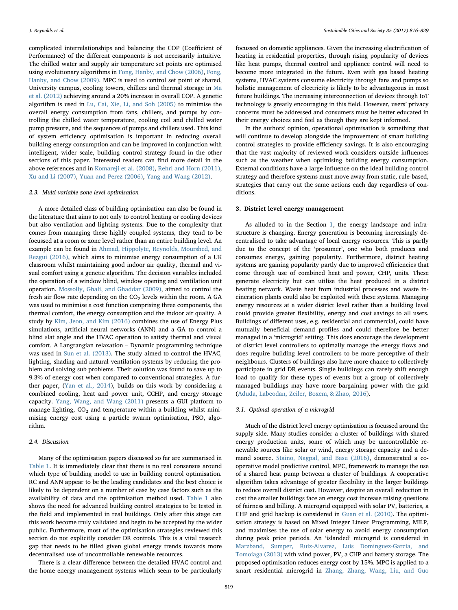complicated interrelationships and balancing the COP (Coefficient of Performance) of the different components is not necessarily intuitive. The chilled water and supply air temperature set points are optimised using evolutionary algorithms in [Fong, Hanby, and Chow \(2006\),](#page-12-25) [Fong,](#page-12-26) [Hanby, and Chow \(2009\).](#page-12-26) MPC is used to control set point of shared, University campus, cooling towers, chillers and thermal storage in [Ma](#page-12-27) [et al. \(2012\)](#page-12-27) achieving around a 20% increase in overall COP. A genetic algorithm is used in [Lu, Cai, Xie, Li, and Soh \(2005\)](#page-12-28) to minimise the overall energy consumption from fans, chillers, and pumps by controlling the chilled water temperature, cooling coil and chilled water pump pressure, and the sequences of pumps and chillers used. This kind of system efficiency optimisation is important in reducing overall building energy consumption and can be improved in conjunction with intelligent, wider scale, building control strategy found in the other sections of this paper. Interested readers can find more detail in the above references and in [Komareji et al. \(2008\)](#page-12-29), [Rehrl and Horn \(2011\)](#page-13-24), [Xu and Li \(2007\),](#page-13-25) [Yuan and Perez \(2006\)](#page-13-26), [Yang and Wang \(2012\).](#page-13-27)

#### 2.3. Multi-variable zone level optimisation

A more detailed class of building optimisation can also be found in the literature that aims to not only to control heating or cooling devices but also ventilation and lighting systems. Due to the complexity that comes from managing these highly coupled systems, they tend to be focussed at a room or zone level rather than an entire building level. An example can be found in [Ahmad, Hippolyte, Reynolds, Mourshed, and](#page-11-5) [Rezgui \(2016\),](#page-11-5) which aims to minimise energy consumption of a UK classroom whilst maintaining good indoor air quality, thermal and visual comfort using a genetic algorithm. The decision variables included the operation of a window blind, window opening and ventilation unit operation. [Mossolly, Ghali, and Ghaddar \(2009\),](#page-13-28) aimed to control the fresh air flow rate depending on the  $CO<sub>2</sub>$  levels within the room. A GA was used to minimise a cost function comprising three components, the thermal comfort, the energy consumption and the indoor air quality. A study by [Kim, Jeon, and Kim \(2016\)](#page-12-30) combines the use of Energy Plus simulations, artificial neural networks (ANN) and a GA to control a blind slat angle and the HVAC operation to satisfy thermal and visual comfort. A Langrangian relaxation – Dynamic programming technique was used in [Sun et al. \(2013\)](#page-13-29). The study aimed to control the HVAC, lighting, shading and natural ventilation systems by reducing the problem and solving sub problems. Their solution was found to save up to 9.3% of energy cost when compared to conventional strategies. A further paper, [\(Yan et al., 2014\)](#page-13-30), builds on this work by considering a combined cooling, heat and power unit, CCHP, and energy storage capacity. [Yang, Wang, and Wang \(2011\)](#page-13-31) presents a GUI platform to manage lighting,  $CO<sub>2</sub>$  and temperature within a building whilst minimising energy cost using a particle swarm optimisation, PSO, algorithm.

## 2.4. Discussion

Many of the optimisation papers discussed so far are summarised in [Table 1](#page-4-0). It is immediately clear that there is no real consensus around which type of building model to use in building control optimisation. RC and ANN appear to be the leading candidates and the best choice is likely to be dependent on a number of case by case factors such as the availability of data and the optimisation method used. [Table 1](#page-4-0) also shows the need for advanced building control strategies to be tested in the field and implemented in real buildings. Only after this stage can this work become truly validated and begin to be accepted by the wider public. Furthermore, most of the optimisation strategies reviewed this section do not explicitly consider DR controls. This is a vital research gap that needs to be filled given global energy trends towards more decentralised use of uncontrollable renewable resources.

There is a clear difference between the detailed HVAC control and the home energy management systems which seem to be particularly

focussed on domestic appliances. Given the increasing electrification of heating in residential properties, through rising popularity of devices like heat pumps, thermal control and appliance control will need to become more integrated in the future. Even with gas based heating systems, HVAC systems consume electricity through fans and pumps so holistic management of electricity is likely to be advantageous in most future buildings. The increasing interconnection of devices through IoT technology is greatly encouraging in this field. However, users' privacy concerns must be addressed and consumers must be better educated in their energy choices and feel as though they are kept informed.

In the authors' opinion, operational optimisation is something that will continue to develop alongside the improvement of smart building control strategies to provide efficiency savings. It is also encouraging that the vast majority of reviewed work considers outside influences such as the weather when optimising building energy consumption. External conditions have a large influence on the ideal building control strategy and therefore systems must move away from static, rule-based, strategies that carry out the same actions each day regardless of conditions.

#### <span id="page-3-0"></span>3. District level energy management

As alluded to in the Section [1](#page-0-1), the energy landscape and infrastructure is changing. Energy generation is becoming increasingly decentralised to take advantage of local energy resources. This is partly due to the concept of the 'prosumer', one who both produces and consumes energy, gaining popularity. Furthermore, district heating systems are gaining popularity partly due to improved efficiencies that come through use of combined heat and power, CHP, units. These generate electricity but can utilise the heat produced in a district heating network. Waste heat from industrial processes and waste incineration plants could also be exploited with these systems. Managing energy resources at a wider district level rather than a building level could provide greater flexibility, energy and cost savings to all users. Buildings of different uses, e.g. residential and commercial, could have mutually beneficial demand profiles and could therefore be better managed in a 'microgrid' setting. This does encourage the development of district level controllers to optimally manage the energy flows and does require building level controllers to be more perceptive of their neighbours. Clusters of buildings also have more chance to collectively participate in grid DR events. Single buildings can rarely shift enough load to qualify for these types of events but a group of collectively managed buildings may have more bargaining power with the grid ([Aduda, Labeodan, Zeiler, Boxem, & Zhao, 2016\)](#page-11-6).

### <span id="page-3-1"></span>3.1. Optimal operation of a microgrid

Much of the district level energy optimisation is focussed around the supply side. Many studies consider a cluster of buildings with shared energy production units, some of which may be uncontrollable renewable sources like solar or wind, energy storage capacity and a demand source. [Staino, Nagpal, and Basu \(2016\),](#page-13-32) demonstrated a cooperative model predictive control, MPC, framework to manage the use of a shared heat pump between a cluster of buildings. A cooperative algorithm takes advantage of greater flexibility in the larger buildings to reduce overall district cost. However, despite an overall reduction in cost the smaller buildings face an energy cost increase raising questions of fairness and billing. A microgrid equipped with solar PV, batteries, a CHP and grid backup is considered in [Guan et al. \(2010\).](#page-12-2) The optimisation strategy is based on Mixed Integer Linear Programming, MILP, and maximises the use of solar energy to avoid energy consumption during peak price periods. An 'islanded' microgrid is considered in [Marzband, Sumper, Ruiz-Alvarez, Luis Dominguez-Garcia, and](#page-12-31) [Tomoiaga \(2013\)](#page-12-31) with wind power, PV, a CHP and battery storage. The proposed optimisation reduces energy cost by 15%. MPC is applied to a smart residential microgrid in [Zhang, Zhang, Wang, Liu, and Guo](#page-13-33)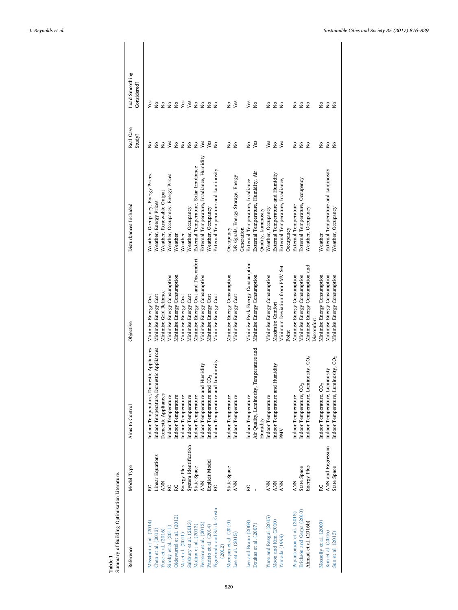<span id="page-4-0"></span>Load Smoothing Load Smoothing Considered? Considered? x 2 2 2 2 3 3 2 2 2 2 2 **P**<br>Ses  $_{\rm Y_{\rm CO}}$  $222$  $222$ [Missaoui](#page-13-7) et al. (2014) RC Indoor Temperature, Domestic Appliances Minimise Energy Cost Weather, Occupancy, Energy Prices No Yes Ma et al. [\(2011\)](#page-12-15) Energy Plus Indoor Temperature Indoor Temperature Indianise Energy Cost Weather Weather No No [Salsbury](#page-13-14) et al. (2013) System Identification Indoor Temperature Minimise Energy Cost Weather, Occupancy No Yes No Yes Lee and Braun [\(2008\)](#page-12-19) RC Indoor Temperature Minimise Peak Energy Consumption External Temperature, Irradiance No Yes  $222$ Chen et al. [\(2013\)](#page-12-11) Linear Equations Indoor Temperature, Domestic Appliances Minimise Energy Cost Weather, Energy Prices No No Yuce et al. [\(2016\)](#page-13-8) ANN Domestic Appliances Minimise Grid Reliance Weather, Renewable Output No No Široký et al. [\(2011\)](#page-13-12) RC Indoor Temperature Minimise Energy Consumption Weather, Occupancy, Energy Prices Yes No [Oldewurtel](#page-13-13) et al. (2012) RC Indoor Temperature Minimise Energy Consumption Weather No No Molina et al. [\(2013\)](#page-13-15) State Space Indoor Temperature Minimise Energy Cost and Discomfort External Temperature, Solar Irradiance No No [Ferreira](#page-12-16) et al. (2012) ANN Indoor Temperature and Humidity Minimise Energy Consumption External Temperature, Irradiance, Humidity Yes No Parisio et al. [\(2014\)](#page-13-16) Explicit Model Indoor Temperature and CO2 Minimise Energy Cost Weather, Occupancy Yes No RC Indoor Temperature and Luminosity Minimise Energy Cost External Temperature and Luminosity No No Moroşan et al. [\(2010\)](#page-13-17) State Space Indoor Temperature Minimise Energy Consumption Occupancy No No Yes No Yuce and [Rezgui](#page-13-19) (2015) ANN Indoor Temperature Minimise Energy Consumption Weather, Occupancy Yes No Moon and Kim [\(2010\)](#page-13-20) ANN Indoor Temperature and Humidity Maximise Comfort External Temperature and Humidity No No Yes No [Papantoniou](#page-13-22) et al. (2015) ANN ANN Indoor Temperature Indoor Temperature Minimise Energy Consumption External Temperature No No [Erickson](#page-12-24) and Cerpa (2010) State Space Indoor Temperature, CO2 Minimise Energy Consumption External Temperature, Occupancy No No Weather, Occupancy No No [Mossolly](#page-13-28) et al. (2009) RC Indoor Temperature, CO<sub>2</sub> Minimise Energy Consumption Weather No No No No No No No No No Kim et al. [\(2016\)](#page-12-30) ANN and Regression Indoor Temperature, Luminosity Minimise Energy Consumption External Temperature and Luminosity No No Sun et al. [\(2013\)](#page-13-29) State Space Andoor Temperature, Luminosity, CO<sub>2</sub> Minimise Energy Consumption Weather, Occupancy No No Real Case Reference Model Type Aims to Control Objective Discutive Disturbances Included Real Case Study? 2222222322 yes<br>No<br>Yes 2 g No<br>Yes  $222$  $222$ External Temperature, Irradiance, Humidity External Temperature, Solar Irradiance External Temperature and Luminosity External Temperature and Luminosity External Temperature, Humidity, Air Minimise Energy Consumption External Temperature, Humidity, Air External Temperature and Humidity Neather, Occupancy, Energy Prices **Neather, Occupancy, Energy Prices** Occupancy<br>DR signals, Energy Storage, Energy Lee et al. [\(2015\)](#page-12-18) ANN ANN Indoor Temperature Minimise Energy Cost DR signals, Energy Storage, Energy External Temperature, Occupancy External Temperature, Irradiance External Temperature, Irradiance, External Temperature, Irradiance, Veather, Renewable Output Weather, Energy Prices )isturbances Included External Temperature Weather, Occupancy Neather, Occupancy Weather, Occupancy Neather, Occupancy Veather, Occupancy Quality, Luminosity Quality, Luminosity Generation Occupancy Generation **Occupancy** Weather Weather Weather Minimise Energy Cost and Discomfort Minimise Peak Energy Consumption Minimise Energy Consumption and Minimum Deviation from PMV Set Ahmad et al. (2016b) Energy Plus Indoor Temperature, Luminosity, CO<sub>2</sub> Minimise Energy Consumption and [Yamada](#page-13-21) (1999) ANN PMV Minimum Deviation from PMV Set Minimise Energy Consumption Minimise Energy Consumption Minimise Energy Consumption Minimise Energy Consumption Minimise Energy Consumption Minimise Energy Consumption Minimise Energy Consumption Minimise Energy Consumption Minimise Energy Consumption Minimise Energy Consumption Minimise Energy Consumption Minimise Grid Reliance Minimise Energy Cost Minimise Energy Cost Minimise Energy Cost Minimise Energy Cost Minimise Energy Cost Minimise Energy Cost Minimise Energy Cost Maximise Comfort Discomfort Discomfort **Diective** Point ndoor Temperature, Domestic Appliances Air Quality, Luminosity, Temperature and ndoor Temperature, Domestic Appliances Doukas et al. [\(2007\)](#page-12-20) – <br>
Doukas et al. (2007) ndoor Temperature, Luminosity, CO<sub>2</sub> ndoor Temperature, Luminosity, CO<sub>2</sub> ndoor Temperature and Luminosity ndoor Temperature and Humidity ndoor Temperature and Humidity Indoor Temperature, Luminosity ndoor Temperature and CO<sub>2</sub> ndoor Temperature, CO<sub>2</sub> ndoor Temperature, CO<sub>2</sub> Domestic Appliances ndoor Temperature Indoor Temperature Indoor Temperature Indoor Temperature ndoor Temperature Indoor Temperature ndoor Temperature ndoor Temperature ndoor Temperature Indoor Temperature Aims to Control Humidity **NN** System Identification RC<br>ANN and Regression Linear Equations Explicit Model State Space<br>Energy Plus Energy Plus State Space State Space State Space Model Type **ANN ANN ANK**<br>A A<br>A<br>A<br>A **ANN ANN** ខ្លួ RC<br>RC RC RC Figueiredo and Sá da Costa [Figueiredo](#page-12-17) and Sá da Costa Erickson and Cerpa (2010) Papantoniou et al. (2015) Yuce and Rezgui (2015) Oldewurtel et al. (2012) Missaoui et al. (2014) Salsbury et al. (2013) Moroșan et al. (2010) Lee and Braun (2008) Moon and Kim (2010) Ahmad et al. (2016b) Mossolly et al. (2009) Ferreira et al. (2012) Parisio et al. (2014) Doukas et al. (2007) Široký et al. (2011) Molina et al. (2013) Chen et al. (2013) Yuce et al. (2016) Kim et al. (2016) Ma et al. (2011) Lee et al. (2015) Sun et al. (2013) Yamada (1999) [\(2012\)](#page-12-17) Reference

Table 1

Summary of Building Optimisation Literature.

Summary of Building Optimisation Literature.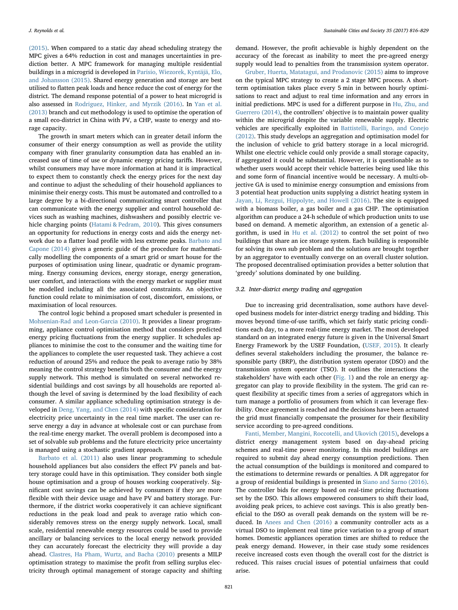[\(2015\).](#page-13-33) When compared to a static day ahead scheduling strategy the MPC gives a 64% reduction in cost and manages uncertainties in prediction better. A MPC framework for managing multiple residential buildings in a microgrid is developed in [Parisio, Wiezorek, Kyntäjä, Elo,](#page-13-34) [and Johansson \(2015\).](#page-13-34) Shared energy generation and storage are best utilised to flatten peak loads and hence reduce the cost of energy for the district. The demand response potential of a power to heat microgrid is also assessed in [Rodriguez, Hinker, and Myrzik \(2016\)](#page-13-35). In [Yan et al.](#page-13-36) [\(2013\)](#page-13-36) branch and cut methodology is used to optimise the operation of a small eco-district in China with PV, a CHP, waste to energy and storage capacity.

The growth in smart meters which can in greater detail inform the consumer of their energy consumption as well as provide the utility company with finer granularity consumption data has enabled an increased use of time of use or dynamic energy pricing tariffs. However, whilst consumers may have more information at hand it is impractical to expect them to constantly check the energy prices for the next day and continue to adjust the scheduling of their household appliances to minimise their energy costs. This must be automated and controlled to a large degree by a bi-directional communicating smart controller that can communicate with the energy supplier and control household devices such as washing machines, dishwashers and possibly electric vehicle charging points [\(Hatami & Pedram, 2010](#page-12-32)). This gives consumers an opportunity for reductions in energy costs and aids the energy network due to a flatter load profile with less extreme peaks. [Barbato and](#page-11-7) [Capone \(2014\)](#page-11-7) gives a generic guide of the procedure for mathematically modelling the components of a smart grid or smart house for the purposes of optimisation using linear, quadratic or dynamic programming. Energy consuming devices, energy storage, energy generation, user comfort, and interactions with the energy market or supplier must be modelled including all the associated constraints. An objective function could relate to minimisation of cost, discomfort, emissions, or maximisation of local resources.

The control logic behind a proposed smart scheduler is presented in [Mohsenian-Rad and Leon-Garcia \(2010\)](#page-13-37). It provides a linear programming, appliance control optimisation method that considers predicted energy pricing fluctuations from the energy supplier. It schedules appliances to minimise the cost to the consumer and the waiting time for the appliances to complete the user requested task. They achieve a cost reduction of around 25% and reduce the peak to average ratio by 38% meaning the control strategy benefits both the consumer and the energy supply network. This method is simulated on several networked residential buildings and cost savings by all households are reported although the level of saving is determined by the load flexibility of each consumer. A similar appliance scheduling optimisation strategy is developed in [Deng, Yang, and Chen \(2014\)](#page-12-33) with specific consideration for electricity price uncertainty in the real time market. The user can reserve energy a day in advance at wholesale cost or can purchase from the real-time energy market. The overall problem is decomposed into a set of solvable sub problems and the future electricity price uncertainty is managed using a stochastic gradient approach.

[Barbato et al. \(2011\)](#page-11-8) also uses linear programming to schedule household appliances but also considers the effect PV panels and battery storage could have in this optimisation. They consider both single house optimisation and a group of houses working cooperatively. Significant cost savings can be achieved by consumers if they are more flexible with their device usage and have PV and battery storage. Furthermore, if the district works cooperatively it can achieve significant reductions in the peak load and peak to average ratio which considerably removes stress on the energy supply network. Local, small scale, residential renewable energy resources could be used to provide ancillary or balancing services to the local energy network provided they can accurately forecast the electricity they will provide a day ahead. [Clastres, Ha Pham, Wurtz, and Bacha \(2010\)](#page-12-34) presents a MILP optimisation strategy to maximise the profit from selling surplus electricity through optimal management of storage capacity and shifting

demand. However, the profit achievable is highly dependent on the accuracy of the forecast as inability to meet the pre-agreed energy supply would lead to penalties from the transmission system operator.

[Gruber, Huerta, Matatagui, and Prodanovic \(2015\)](#page-12-35) aims to improve on the typical MPC strategy to create a 2 stage MPC process. A shortterm optimisation takes place every 5 min in between hourly optimisations to react and adjust to real time information and any errors in initial predictions. MPC is used for a different purpose in [Hu, Zhu, and](#page-12-36) [Guerrero \(2014\)](#page-12-36), the controllers' objective is to maintain power quality within the microgrid despite the variable renewable supply. Electric vehicles are specifically exploited in [Battistelli, Baringo, and Conejo](#page-11-9) [\(2012\).](#page-11-9) This study develops an aggregation and optimisation model for the inclusion of vehicle to grid battery storage in a local microgrid. Whilst one electric vehicle could only provide a small storage capacity, if aggregated it could be substantial. However, it is questionable as to whether users would accept their vehicle batteries being used like this and some form of financial incentive would be necessary. A multi-objective GA is used to minimise energy consumption and emissions from 3 potential heat production units supplying a district heating system in [Jayan, Li, Rezgui, Hippolyte, and Howell \(2016\).](#page-12-37) The site is equipped with a biomass boiler, a gas boiler and a gas CHP. The optimisation algorithm can produce a 24-h schedule of which production units to use based on demand. A memetic algorithm, an extension of a genetic algorithm, is used in [Hu et al. \(2012\)](#page-12-1) to control the set point of two buildings that share an ice storage system. Each building is responsible for solving its own sub problem and the solutions are brought together by an aggregator to eventually converge on an overall cluster solution. The proposed decentralised optimisation provides a better solution that 'greedy' solutions dominated by one building.

#### <span id="page-5-0"></span>3.2. Inter-district energy trading and aggregation

Due to increasing grid decentralisation, some authors have developed business models for inter-district energy trading and bidding. This moves beyond time-of-use tariffs, which set fairly static pricing conditions each day, to a more real-time energy market. The most developed standard on an integrated energy future is given in the Universal Smart Energy Framework by the USEF Foundation, ([USEF, 2015\)](#page-13-38). It clearly defines several stakeholders including the prosumer, the balance responsible party (BRP), the distribution system operator (DSO) and the transmission system operator (TSO). It outlines the interactions the stakeholders' have with each other ([Fig. 1](#page-6-0)) and the role an energy aggregator can play to provide flexibility in the system. The grid can request flexibility at specific times from a series of aggregators which in turn manage a portfolio of prosumers from which it can leverage flexibility. Once agreement is reached and the decisions have been actuated the grid must financially compensate the prosumer for their flexibility service according to pre-agreed conditions.

[Fanti, Member, Mangini, Roccotelli, and Ukovich \(2015\),](#page-12-38) develops a district energy management system based on day-ahead pricing schemes and real-time power monitoring. In this model buildings are required to submit day ahead energy consumption predictions. Then the actual consumption of the buildings is monitored and compared to the estimations to determine rewards or penalties. A DR aggregator for a group of residential buildings is presented in [Siano and Sarno \(2016\)](#page-13-39). The controller bids for energy based on real-time pricing fluctuations set by the DSO. This allows empowered consumers to shift their load, avoiding peak prices, to achieve cost savings. This is also greatly beneficial to the DSO as overall peak demands on the system will be reduced. In [Anees and Chen \(2016\)](#page-11-10) a community controller acts as a virtual DSO to implement real time price variation to a group of smart homes. Domestic appliances operation times are shifted to reduce the peak energy demand. However, in their case study some residences receive increased costs even though the overall cost for the district is reduced. This raises crucial issues of potential unfairness that could arise.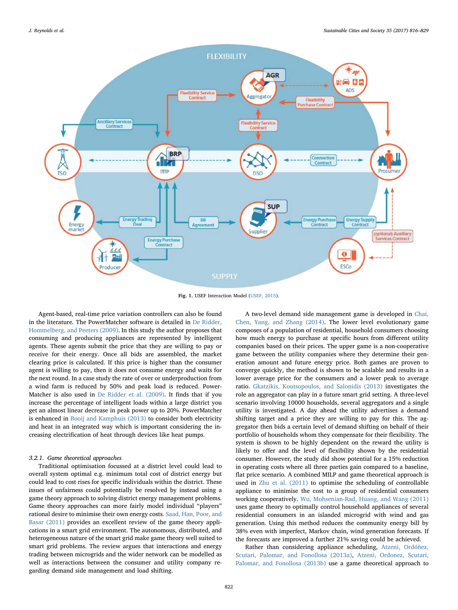<span id="page-6-0"></span>

Fig. 1. USEF Interaction Model ([USEF, 2015](#page-13-38)).

Agent-based, real-time price variation controllers can also be found in the literature. The PowerMatcher software is detailed in [De Ridder,](#page-12-39) [Hommelberg, and Peeters \(2009\).](#page-12-39) In this study the author proposes that consuming and producing appliances are represented by intelligent agents. These agents submit the price that they are willing to pay or receive for their energy. Once all bids are assembled, the market clearing price is calculated. If this price is higher than the consumer agent is willing to pay, then it does not consume energy and waits for the next round. In a case study the rate of over or underproduction from a wind farm is reduced by 50% and peak load is reduced. Power-Matcher is also used in [De Ridder et al. \(2009\).](#page-12-39) It finds that if you increase the percentage of intelligent loads within a large district you get an almost linear decrease in peak power up to 20%. PowerMatcher is enhanced in [Booij and Kamphuis \(2013\)](#page-11-11) to consider both electricity and heat in an integrated way which is important considering the increasing electrification of heat through devices like heat pumps.

## <span id="page-6-1"></span>3.2.1. Game theoretical approaches

Traditional optimisation focussed at a district level could lead to overall system optimal e.g. minimum total cost of district energy but could lead to cost rises for specific individuals within the district. These issues of unfairness could potentially be resolved by instead using a game theory approach to solving district energy management problems. Game theory approaches can more fairly model individual "players" rational desire to minimise their own energy costs. [Saad, Han, Poor, and](#page-13-40) [Basar \(2011\)](#page-13-40) provides an excellent review of the game theory applications in a smart grid environment. The autonomous, distributed, and heterogeneous nature of the smart grid make game theory well suited to smart grid problems. The review argues that interactions and energy trading between microgrids and the wider network can be modelled as well as interactions between the consumer and utility company regarding demand side management and load shifting.

A two-level demand side management game is developed in [Chai,](#page-12-40) [Chen, Yang, and Zhang \(2014\).](#page-12-40) The lower level evolutionary game composes of a population of residential, household consumers choosing how much energy to purchase at specific hours from different utility companies based on their prices. The upper game is a non-cooperative game between the utility companies where they determine their generation amount and future energy price. Both games are proven to converge quickly, the method is shown to be scalable and results in a lower average price for the consumers and a lower peak to average ratio. [Gkatzikis, Koutsopoulos, and Salonidis \(2013\)](#page-12-41) investigates the role an aggregator can play in a future smart grid setting. A three-level scenario involving 10000 households, several aggregators and a single utility is investigated. A day ahead the utility advertises a demand shifting target and a price they are willing to pay for this. The aggregator then bids a certain level of demand shifting on behalf of their portfolio of households whom they compensate for their flexibility. The system is shown to be highly dependent on the reward the utility is likely to offer and the level of flexibility shown by the residential consumer. However, the study did show potential for a 15% reduction in operating costs where all three parties gain compared to a baseline, flat price scenario. A combined MILP and game theoretical approach is used in [Zhu et al. \(2011\)](#page-13-41) to optimise the scheduling of controllable appliance to minimise the cost to a group of residential consumers working cooperatively. [Wu, Mohsenian-Rad, Huang, and Wang \(2011\)](#page-13-42) uses game theory to optimally control household appliances of several residential consumers in an islanded microgrid with wind and gas generation. Using this method reduces the community energy bill by 38% even with imperfect, Markov chain, wind generation forecasts. If the forecasts are improved a further 21% saving could be achieved.

Rather than considering appliance scheduling, [Atzeni, Ordóñez,](#page-11-12) [Scutari, Palomar, and Fonollosa \(2013a\)](#page-11-12), [Atzeni, Ordonez, Scutari,](#page-11-13) [Palomar, and Fonollosa \(2013b\)](#page-11-13) use a game theoretical approach to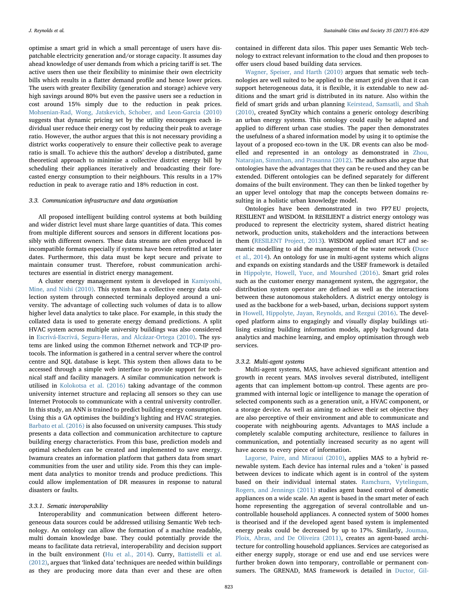optimise a smart grid in which a small percentage of users have dispatchable electricity generation and/or storage capacity. It assumes day ahead knowledge of user demands from which a pricing tariff is set. The active users then use their flexibility to minimise their own electricity bills which results in a flatter demand profile and hence lower prices. The users with greater flexibility (generation and storage) achieve very high savings around 80% but even the passive users see a reduction in cost around 15% simply due to the reduction in peak prices. [Mohsenian-Rad, Wong, Jatskevich, Schober, and Leon-Garcia \(2010\)](#page-13-43) suggests that dynamic pricing set by the utility encourages each individual user reduce their energy cost by reducing their peak to average ratio. However, the author argues that this is not necessary providing a district works cooperatively to ensure their collective peak to average ratio is small. To achieve this the authors' develop a distributed, game theoretical approach to minimise a collective district energy bill by scheduling their appliances iteratively and broadcasting their forecasted energy consumption to their neighbours. This results in a 17% reduction in peak to average ratio and 18% reduction in cost.

#### 3.3. Communication infrastructure and data organisation

All proposed intelligent building control systems at both building and wider district level must share large quantities of data. This comes from multiple different sources and sensors in different locations possibly with different owners. These data streams are often produced in incompatible formats especially if systems have been retrofitted at later dates. Furthermore, this data must be kept secure and private to maintain consumer trust. Therefore, robust communication architectures are essential in district energy management.

A cluster energy management system is developed in [Kamiyoshi,](#page-12-42) [Mine, and Nishi \(2010\)](#page-12-42). This system has a collective energy data collection system through connected terminals deployed around a university. The advantage of collecting such volumes of data is to allow higher level data analytics to take place. For example, in this study the collated data is used to generate energy demand predictions. A split HVAC system across multiple university buildings was also considered in [Escrivá-Escrivá, Segura-Heras, and Alcázar-Ortega \(2010\).](#page-12-43) The systems are linked using the common Ethernet network and TCP-IP protocols. The information is gathered in a central server where the control centre and SQL database is kept. This system then allows data to be accessed through a simple web interface to provide support for technical staff and facility managers. A similar communication network is utilised in [Kolokotsa et al. \(2016\)](#page-12-44) taking advantage of the common university internet structure and replacing all sensors so they can use Internet Protocols to communicate with a central university controller. In this study, an ANN is trained to predict building energy consumption. Using this a GA optimises the building's lighting and HVAC strategies. [Barbato et al. \(2016\)](#page-11-14) is also focussed on university campuses. This study presents a data collection and communication architecture to capture building energy characteristics. From this base, prediction models and optimal schedulers can be created and implemented to save energy. Iwamura creates an information platform that gathers data from smart communities from the user and utility side. From this they can implement data analytics to monitor trends and produce predictions. This could allow implementation of DR measures in response to natural disasters or faults.

### 3.3.1. Sematic interoperability

Interoperability and communication between different heterogeneous data sources could be addressed utilising Semantic Web technology. An ontology can allow the formation of a machine readable, multi domain knowledge base. They could potentially provide the means to facilitate data retrieval, interoperability and decision support in the built environment ([Hu et al., 2014](#page-12-36)). Curry, [Battistelli et al.](#page-11-9) [\(2012\),](#page-11-9) argues that 'linked data' techniques are needed within buildings as they are producing more data than ever and these are often

contained in different data silos. This paper uses Semantic Web technology to extract relevant information to the cloud and then proposes to offer users cloud based building data services.

[Wagner, Speiser, and Harth \(2010\)](#page-13-44) argues that sematic web technologies are well suited to be applied to the smart grid given that it can support heterogeneous data, it is flexible, it is extendable to new additions and the smart grid is distributed in its nature. Also within the field of smart grids and urban planning [Keirstead, Samsatli, and Shah](#page-12-45) [\(2010\),](#page-12-45) created SynCity which contains a generic ontology describing an urban energy systems. This ontology could easily be adapted and applied to different urban case studies. The paper then demonstrates the usefulness of a shared information model by using it to optimise the layout of a proposed eco-town in the UK. DR events can also be modelled and represented in an ontology as demonstrated in [Zhou,](#page-13-45) [Natarajan, Simmhan, and Prasanna \(2012\).](#page-13-45) The authors also argue that ontologies have the advantages that they can be re-used and they can be extended. Different ontologies can be defined separately for different domains of the built environment. They can then be linked together by an upper level ontology that map the concepts between domains resulting in a holistic urban knowledge model.

Ontologies have been demonstrated in two FP7 EU projects, RESILIENT and WISDOM. In RESILIENT a district energy ontology was produced to represent the electricity system, shared district heating network, production units, stakeholders and the interactions between them ([RESILENT Project, 2013\)](#page-13-46). WISDOM applied smart ICT and semantic modelling to aid the management of the water network ([Duce](#page-12-46) [et al., 2014\)](#page-12-46). An ontology for use in multi-agent systems which aligns and expands on existing standards and the USEF framework is detailed in [Hippolyte, Howell, Yuce, and Mourshed \(2016\)](#page-12-47). Smart grid roles such as the customer energy management system, the aggregator, the distribution system operator are defined as well as the interactions between these autonomous stakeholders. A district energy ontology is used as the backbone for a web-based, urban, decisions support system in [Howell, Hippolyte, Jayan, Reynolds, and Rezgui \(2016\)](#page-12-48). The developed platform aims to engagingly and visually display buildings utilising existing building information models, apply background data analytics and machine learning, and employ optimisation through web services.

## 3.3.2. Multi-agent systems

Multi-agent systems, MAS, have achieved significant attention and growth in recent years. MAS involves several distributed, intelligent agents that can implement bottom-up control. These agents are programmed with internal logic or intelligence to manage the operation of selected components such as a generation unit, a HVAC component, or a storage device. As well as aiming to achieve their set objective they are also perceptive of their environment and able to communicate and cooperate with neighbouring agents. Advantages to MAS include a completely scalable computing architecture, resilience to failures in communication, and potentially increased security as no agent will have access to every piece of information.

[Lagorse, Paire, and Miraoui \(2010\)](#page-12-49), applies MAS to a hybrid renewable system. Each device has internal rules and a 'token' is passed between devices to indicate which agent is in control of the system based on their individual internal states. [Ramchurn, Vytelingum,](#page-13-47) [Rogers, and Jennings \(2011\)](#page-13-47) studies agent based control of domestic appliances on a wide scale. An agent is based in the smart meter of each home representing the aggregation of several controllable and uncontrollable household appliances. A connected system of 5000 homes is theorised and if the developed agent based system is implemented energy peaks could be decreased by up to 17%. Similarly, [Joumaa,](#page-12-50) [Ploix, Abras, and De Oliveira \(2011\),](#page-12-50) creates an agent-based architecture for controlling household appliances. Services are categorised as either energy supply, storage or end use and end use services were further broken down into temporary, controllable or permanent consumers. The GRENAD, MAS framework is detailed in [Ductor, Gil-](#page-12-51)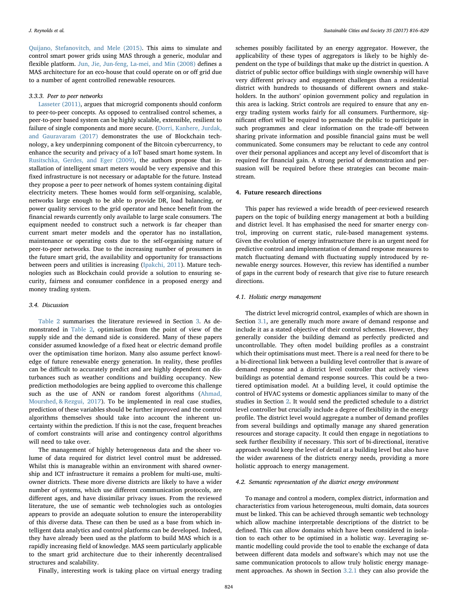[Quijano, Stefanovitch, and Mele \(2015\).](#page-12-51) This aims to simulate and control smart power grids using MAS through a generic, modular and flexible platform. [Jun, Jie, Jun-feng, La-mei, and Min \(2008\)](#page-12-52) defines a MAS architecture for an eco-house that could operate on or off grid due to a number of agent controlled renewable resources.

#### 3.3.3. Peer to peer networks

[Lasseter \(2011\),](#page-12-53) argues that microgrid components should conform to peer-to-peer concepts. As opposed to centralised control schemes, a peer-to-peer based system can be highly scalable, extensible, resilient to failure of single components and more secure. [\(Dorri, Kanhere, Jurdak,](#page-12-54) [and Gauravaram \(2017\)](#page-12-54) demonstrates the use of Blockchain technology, a key underpinning component of the Bitcoin cybercurrency, to enhance the security and privacy of a IoT based smart home system. In [Rusitschka, Gerdes, and Eger \(2009\),](#page-13-48) the authors propose that installation of intelligent smart meters would be very expensive and this fixed infrastructure is not necessary or adaptable for the future. Instead they propose a peer to peer network of homes system containing digital electricity meters. These homes would form self-organising, scalable, networks large enough to be able to provide DR, load balancing, or power quality services to the grid operator and hence benefit from the financial rewards currently only available to large scale consumers. The equipment needed to construct such a network is far cheaper than current smart meter models and the operator has no installation, maintenance or operating costs due to the self-organising nature of peer-to-peer networks. Due to the increasing number of prosumers in the future smart grid, the availability and opportunity for transactions between peers and utilities is increasing [\(Ipakchi, 2011](#page-12-55)). Mature technologies such as Blockchain could provide a solution to ensuring security, fairness and consumer confidence in a proposed energy and money trading system.

### 3.4. Discussion

[Table 2](#page-9-0) summarises the literature reviewed in Section [3](#page-3-0). As demonstrated in [Table 2,](#page-9-0) optimisation from the point of view of the supply side and the demand side is considered. Many of these papers consider assumed knowledge of a fixed heat or electric demand profile over the optimisation time horizon. Many also assume perfect knowledge of future renewable energy generation. In reality, these profiles can be difficult to accurately predict and are highly dependent on disturbances such as weather conditions and building occupancy. New prediction methodologies are being applied to overcome this challenge such as the use of ANN or random forest algorithms [\(Ahmad,](#page-11-15) [Mourshed, & Rezgui, 2017\)](#page-11-15). To be implemented in real case studies, prediction of these variables should be further improved and the control algorithms themselves should take into account the inherent uncertainty within the prediction. If this is not the case, frequent breaches of comfort constraints will arise and contingency control algorithms will need to take over.

The management of highly heterogeneous data and the sheer volume of data required for district level control must be addressed. Whilst this is manageable within an environment with shared ownership and ICT infrastructure it remains a problem for multi-use, multiowner districts. These more diverse districts are likely to have a wider number of systems, which use different communication protocols, are different ages, and have dissimilar privacy issues. From the reviewed literature, the use of semantic web technologies such as ontologies appears to provide an adequate solution to ensure the interoperability of this diverse data. These can then be used as a base from which intelligent data analytics and control platforms can be developed. Indeed, they have already been used as the platform to build MAS which is a rapidly increasing field of knowledge. MAS seem particularly applicable to the smart grid architecture due to their inherently decentralised structures and scalability.

Finally, interesting work is taking place on virtual energy trading

schemes possibly facilitated by an energy aggregator. However, the applicability of these types of aggregators is likely to be highly dependent on the type of buildings that make up the district in question. A district of public sector office buildings with single ownership will have very different privacy and engagement challenges than a residential district with hundreds to thousands of different owners and stakeholders. In the authors' opinion government policy and regulation in this area is lacking. Strict controls are required to ensure that any energy trading system works fairly for all consumers. Furthermore, significant effort will be required to persuade the public to participate in such programmes and clear information on the trade-off between sharing private information and possible financial gains must be well communicated. Some consumers may be reluctant to cede any control over their personal appliances and accept any level of discomfort that is required for financial gain. A strong period of demonstration and persuasion will be required before these strategies can become mainstream.

#### <span id="page-8-0"></span>4. Future research directions

This paper has reviewed a wide breadth of peer-reviewed research papers on the topic of building energy management at both a building and district level. It has emphasised the need for smarter energy control, improving on current static, rule-based management systems. Given the evolution of energy infrastructure there is an urgent need for predictive control and implementation of demand response measures to match fluctuating demand with fluctuating supply introduced by renewable energy sources. However, this review has identified a number of gaps in the current body of research that give rise to future research directions.

## 4.1. Holistic energy management

The district level microgrid control, examples of which are shown in Section [3.1,](#page-3-1) are generally much more aware of demand response and include it as a stated objective of their control schemes. However, they generally consider the building demand as perfectly predicted and uncontrollable. They often model building profiles as a constraint which their optimisations must meet. There is a real need for there to be a bi-directional link between a building level controller that is aware of demand response and a district level controller that actively views buildings as potential demand response sources. This could be a twotiered optimisation model. At a building level, it could optimise the control of HVAC systems or domestic appliances similar to many of the studies in Section [2](#page-1-0). It would send the predicted schedule to a district level controller but crucially include a degree of flexibility in the energy profile. The district level would aggregate a number of demand profiles from several buildings and optimally manage any shared generation resources and storage capacity. It could then engage in negotiations to seek further flexibility if necessary. This sort of bi-directional, iterative approach would keep the level of detail at a building level but also have the wider awareness of the districts energy needs, providing a more holistic approach to energy management.

## 4.2. Semantic representation of the district energy environment

To manage and control a modern, complex district, information and characteristics from various heterogeneous, multi domain, data sources must be linked. This can be achieved through semantic web technology which allow machine interpretable descriptions of the district to be defined. This can allow domains which have been considered in isolation to each other to be optimised in a holistic way. Leveraging semantic modelling could provide the tool to enable the exchange of data between different data models and software's which may not use the same communication protocols to allow truly holistic energy management approaches. As shown in Section [3.2.1](#page-6-1) they can also provide the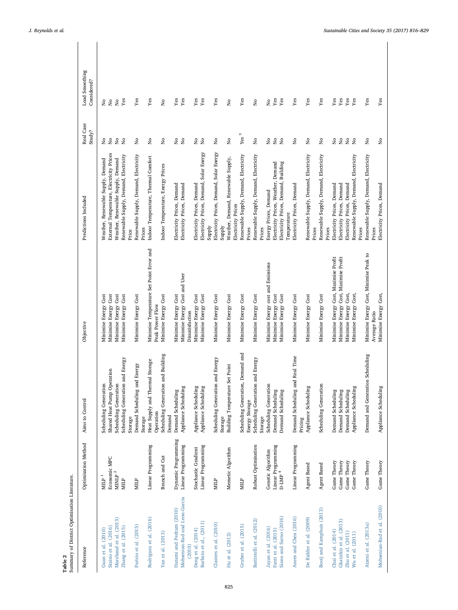<span id="page-9-0"></span>

| Summary of District Optimisation Literature.<br>Table 2 |                     |                                                           |                                          |                                                             |                                            |                               |  |
|---------------------------------------------------------|---------------------|-----------------------------------------------------------|------------------------------------------|-------------------------------------------------------------|--------------------------------------------|-------------------------------|--|
| Reference                                               | Optimisation Method | Aims to Control                                           | Objective                                | Predictions Included                                        | Real Case<br>Study?                        | Load Smoothing<br>Considered? |  |
| Guan et al. (2010)                                      | $\mbox{MILP}$ $^1$  | Scheduling Generation                                     | Cost<br>Minimise Energy                  | Weather, Renewable Supply, Demand                           |                                            | 2 g                           |  |
| Staino et al. (2016)                                    | Economic MPC        | Shared Heat Pump Operation                                | Minimise Energy Cost                     | External Temperature, Electricity Prices                    | 2 g                                        |                               |  |
| Marzband et al. (2013)                                  | MINLP $^2$          | Scheduling Generation                                     | Minimise Energy Cost                     | Weather, Renewable Supply, Demand                           | $\mathsf{S}$                               | $\rm _{No}$                   |  |
| Zhang et al. (2015)                                     | MILP                | Scheduling Generation and Energy                          | Minimise Energy Cost                     | Renewable Supply, Demand, Electricity                       | $\tilde{z}$                                | Yes                           |  |
| Parisio et al. (2015)                                   | $MILP$              | and Energy<br>Demand Scheduling<br>Storage                | Minimise Energy Cost                     | Renewable Supply, Demand, Electricity<br>Price              | $\rm \stackrel{\circ}{\rm \scriptstyle Z}$ | Yes                           |  |
|                                                         |                     | Storage                                                   |                                          | Prices                                                      |                                            |                               |  |
| Rodriguez et al. (2016)                                 | Linear Programming  | Heat Supply and Thermal Storage                           | Minimise Temperature Set Point Error and | Indoor Temperature, Thermal Comfort                         | $\mathop{\mathsf{S}}$                      | Yes                           |  |
| Yan et al. (2013)                                       | Branch and Cut      | Scheduling Generation and Building<br>Operation<br>Demand | Minimise Energy Cost<br>Peak Power Flow  | indoor Temperature, Energy Prices                           | å                                          | å                             |  |
| Hatami and Pedram (2010)                                | Dynamic Programming | Demand Scheduling                                         | Minimise Energy Cost                     | Electricity Prices, Demand                                  | $\overline{\mathsf{a}}$                    | Yes                           |  |
| Mohsenian-Rad and Leon-Garcia                           | Linear Programming  | Appliance Scheduling                                      | Minimise Energy Cost and User            | Electricity Prices, Demand                                  | $\rm \stackrel{\circ}{\rm \bf Z}$          | Yes                           |  |
| (2010)                                                  |                     |                                                           | Dissatisfaction                          |                                                             |                                            |                               |  |
| Deng et al. (2014)                                      | Stochastic Gradient | Appliance Scheduling                                      | Minimise Energy Cost                     | Electricity Prices, Demand                                  | $\mathop{\mathsf{so}}$                     | Yes                           |  |
| Barbato et al., (2011)                                  | Linear Programming  | Appliance Scheduling                                      | Minimise Energy Cost                     | Electricity Prices, Demand, Solar Energy<br>Supply          | $\overline{\mathsf{x}}$                    | Yes                           |  |
| Clastres et al. (2010)                                  | MILP                | Scheduling Generation and Energy                          | Minimise Energy Cost                     | Electricity Prices, Demand, Solar Energy                    | å                                          | Yes                           |  |
|                                                         |                     | Storage                                                   |                                          | Supply                                                      |                                            |                               |  |
| Hu et al. (2012)                                        | Memetic Algorithm   | Building Temperature Set Point                            | Minimise Energy Cost                     | Weather, Demand, Renewable Supply,                          | ş                                          | $\frac{1}{2}$                 |  |
| Gruber et al. (2015)                                    | MILP                | Scheduling Generation, Demand and                         | Minimise Energy Cost                     | Renewable Supply, Demand, Electricity<br>Electricity Prices | S<br>Yes <sup>-</sup>                      | Yes                           |  |
|                                                         |                     | Energy Storage                                            |                                          | Prices                                                      |                                            |                               |  |
| Battistelli et al. (2012)                               | Robust Optimisation | Scheduling Generation and Energy                          | Minimise Energy Cost                     | Renewable Supply, Demand, Electricity                       | $\rm \stackrel{\circ}{\rm \bf Z}$          | $\frac{1}{2}$                 |  |
|                                                         |                     | Storage                                                   |                                          | Prices                                                      |                                            |                               |  |
| Jayan et al. (2016)                                     | Genetic Algorithm   | Scheduling Generation                                     | Minimise Energy cost and Emissions       | Energy Prices, Demand                                       | 222                                        | $\mathop{\mathsf{so}}$        |  |
| Fanti et al. (2015)                                     | Linear Programming  | Demand Scheduling                                         | Minimise Energy Cost                     | Electricity Prices, Weather, Demand                         |                                            | Yes                           |  |
| Siano and Sarno (2016)                                  | $D$ LMP $^4\,$      | Demand Scheduling                                         | Minimise Energy Cost                     | Electricity Prices, Demand, Building                        |                                            | Yes                           |  |
| Anees and Chen (2016)                                   | Linear Programming  | and Real Time<br>Demand Scheduling                        | Minimise Energy Cost                     | Electricity Prices, Demand<br>Temperature                   | $\rm _{No}$                                | Yes                           |  |
| De Ridder et al. (2009)                                 |                     | Pricing                                                   |                                          |                                                             | $\mathop{\mathsf{S}}$                      | Yes                           |  |
|                                                         | Agent Based         | Appliance Scheduling                                      | Minimise Energy Cost                     | Renewable Supply, Demand, Electricity<br>Prices             |                                            |                               |  |
| Booij and Kamphuis (2013)                               | Agent Based         | Scheduling Generation                                     | Minimise Energy Cost                     | Renewable Supply, Demand, Electricity                       | $\mathop{\mathsf{so}}$                     | Yes                           |  |
|                                                         |                     |                                                           |                                          | Prices                                                      |                                            |                               |  |
| Chai et al. (2014)                                      | Game Theory         | Demand Scheduling                                         | Minimise Energy Cost, Maximise Profit    | Electricity Prices, Demand                                  | 2 g                                        | Yes                           |  |
| Gkatzikis et al. (2013)                                 | Game Theory         | Demand Scheduling                                         | Minimise Energy Cost, Maximise Profit    | Electricity Prices, Demand                                  |                                            | Yes                           |  |
| Zhu et al. (2011)                                       | Game Theory         | Demand Scheduling                                         | Minimise Energy Cost,                    | Electricity Prices, Demand                                  | $\rm _{No}$                                | Yes                           |  |
| Wu et al. (2011)                                        | Game Theory         | Appliance Scheduling                                      | Minimise Energy Cost,                    | Renewable Supply, Demand, Electricity                       | $\overline{\mathsf{a}}$                    | Yes                           |  |
| Atzeni et al. (2013a)                                   | Game Theory         | Demand and Generation Scheduling                          | Minimise Energy Cost, Minimise Peak to   | Renewable Supply, Demand, Electricity<br>Prices             | $\mathop{\mathsf{S}}$                      | Yes                           |  |
|                                                         |                     |                                                           | Average Ratio                            | Prices                                                      |                                            |                               |  |
| Mohsenian-Rad et al. (2010)                             | Game Theory         | Appliance Scheduling                                      | Minimise Energy Cost,                    | Electricity Prices, Demand                                  | $\frac{1}{2}$                              | Yes                           |  |
|                                                         |                     |                                                           |                                          |                                                             |                                            |                               |  |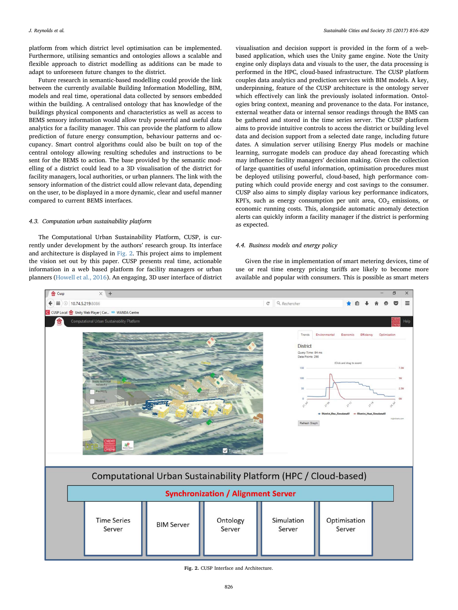platform from which district level optimisation can be implemented. Furthermore, utilising semantics and ontologies allows a scalable and flexible approach to district modelling as additions can be made to adapt to unforeseen future changes to the district.

Future research in semantic-based modelling could provide the link between the currently available Building Information Modelling, BIM, models and real time, operational data collected by sensors embedded within the building. A centralised ontology that has knowledge of the buildings physical components and characteristics as well as access to BEMS sensory information would allow truly powerful and useful data analytics for a facility manager. This can provide the platform to allow prediction of future energy consumption, behaviour patterns and occupancy. Smart control algorithms could also be built on top of the central ontology allowing resulting schedules and instructions to be sent for the BEMS to action. The base provided by the semantic modelling of a district could lead to a 3D visualisation of the district for facility managers, local authorities, or urban planners. The link with the sensory information of the district could allow relevant data, depending on the user, to be displayed in a more dynamic, clear and useful manner compared to current BEMS interfaces.

### <span id="page-10-1"></span>4.3. Computation urban sustainability platform

The Computational Urban Sustainability Platform, CUSP, is currently under development by the authors' research group. Its interface and architecture is displayed in [Fig. 2.](#page-10-0) This project aims to implement the vision set out by this paper. CUSP presents real time, actionable information in a web based platform for facility managers or urban planners ([Howell et al., 2016\)](#page-12-48). An engaging, 3D user interface of district

visualisation and decision support is provided in the form of a webbased application, which uses the Unity game engine. Note the Unity engine only displays data and visuals to the user, the data processing is performed in the HPC, cloud-based infrastructure. The CUSP platform couples data analytics and prediction services with BIM models. A key, underpinning, feature of the CUSP architecture is the ontology server which effectively can link the previously isolated information. Ontologies bring context, meaning and provenance to the data. For instance, external weather data or internal sensor readings through the BMS can be gathered and stored in the time series server. The CUSP platform aims to provide intuitive controls to access the district or building level data and decision support from a selected date range, including future dates. A simulation server utilising Energy Plus models or machine learning, surrogate models can produce day ahead forecasting which may influence facility managers' decision making. Given the collection of large quantities of useful information, optimisation procedures must be deployed utilising powerful, cloud-based, high performance computing which could provide energy and cost savings to the consumer. CUSP also aims to simply display various key performance indicators, KPI's, such as energy consumption per unit area,  $CO<sub>2</sub>$  emissions, or economic running costs. This, alongside automatic anomaly detection alerts can quickly inform a facility manager if the district is performing as expected.

## 4.4. Business models and energy policy

Given the rise in implementation of smart metering devices, time of use or real time energy pricing tariffs are likely to become more available and popular with consumers. This is possible as smart meters

<span id="page-10-0"></span>

Fig. 2. CUSP Interface and Architecture.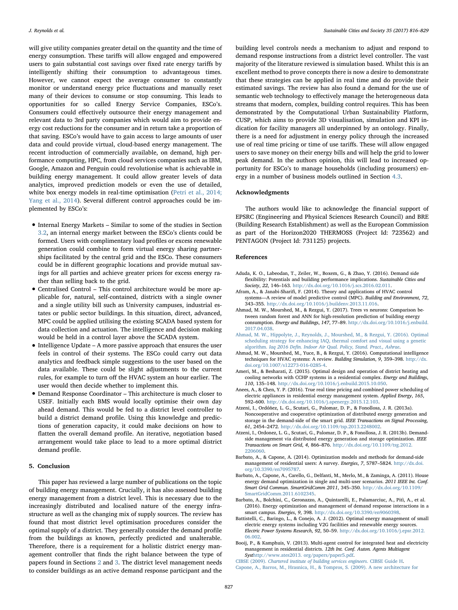will give utility companies greater detail on the quantity and the time of energy consumption. These tariffs will allow engaged and empowered users to gain substantial cost savings over fixed rate energy tariffs by intelligently shifting their consumption to advantageous times. However, we cannot expect the average consumer to constantly monitor or understand energy price fluctuations and manually reset many of their devices to consume or stop consuming. This leads to opportunities for so called Energy Service Companies, ESCo's. Consumers could effectively outsource their energy management and relevant data to 3rd party companies which would aim to provide energy cost reductions for the consumer and in return take a proportion of that saving. ESCo's would have to gain access to large amounts of user data and could provide virtual, cloud-based energy management. The recent introduction of commercially available, on demand, high performance computing, HPC, from cloud services companies such as IBM, Google, Amazon and Penguin could revolutionise what is achievable in building energy management. It could allow greater levels of data analytics, improved prediction models or even the use of detailed, white box energy models in real-time optimisation ([Petri et al., 2014;](#page-13-49) [Yang et al., 2014](#page-13-49)). Several different control approaches could be implemented by ESCo's:

- Internal Energy Markets Similar to some of the studies in Section [3.2,](#page-5-0) an internal energy market between the ESCo's clients could be formed. Users with complimentary load profiles or excess renewable generation could combine to form virtual energy sharing partnerships facilitated by the central grid and the ESCo. These consumers could be in different geographic locations and provide mutual savings for all parties and achieve greater prices for excess energy rather than selling back to the grid.
- Centralised Control This control architecture would be more applicable for, natural, self-contained, districts with a single owner and a single utility bill such as University campuses, industrial estates or public sector buildings. In this situation, direct, advanced, MPC could be applied utilising the existing SCADA based system for data collection and actuation. The intelligence and decision making would be held in a control layer above the SCADA system.
- Intelligence Update A more passive approach that ensures the user feels in control of their systems. The ESCo could carry out data analytics and feedback simple suggestions to the user based on the data available. These could be slight adjustments to the current rules, for example to turn off the HVAC system an hour earlier. The user would then decide whether to implement this.
- Demand Response Coordinator This architecture is much closer to USEF. Initially each BMS would locally optimise their own day ahead demand. This would be fed to a district level controller to build a district demand profile. Using this knowledge and predictions of generation capacity, it could make decisions on how to flatten the overall demand profile. An iterative, negotiation based arrangement would take place to lead to a more optimal district demand profile.

#### 5. Conclusion

This paper has reviewed a large number of publications on the topic of building energy management. Crucially, it has also assessed building energy management from a district level. This is necessary due to the increasingly distributed and localised nature of the energy infrastructure as well as the changing mix of supply sources. The review has found that most district level optimisation procedures consider the optimal supply of a district. They generally consider the demand profile from the buildings as known, perfectly predicted and unalterable. Therefore, there is a requirement for a holistic district energy management controller that finds the right balance between the type of papers found in Sections [2](#page-1-0) and [3.](#page-3-0) The district level management needs to consider buildings as an active demand response participant and the

building level controls needs a mechanism to adjust and respond to demand response instructions from a district level controller. The vast majority of the literature reviewed is simulation based. Whilst this is an excellent method to prove concepts there is now a desire to demonstrate that these strategies can be applied in real time and do provide their estimated savings. The review has also found a demand for the use of semantic web technology to effectively manage the heterogeneous data streams that modern, complex, building control requires. This has been demonstrated by the Computational Urban Sustainability Platform, CUSP, which aims to provide 3D visualisation, simulation and KPI indication for facility managers all underpinned by an ontology. Finally, there is a need for adjustment in energy policy through the increased use of real time pricing or time of use tariffs. These will allow engaged users to save money on their energy bills and will help the grid to lower peak demand. In the authors opinion, this will lead to increased opportunity for ESCo's to manage households (including prosumers) energy in a number of business models outlined in Section [4.3](#page-10-1).

#### Acknowledgments

The authors would like to acknowledge the financial support of EPSRC (Engineering and Physical Sciences Research Council) and BRE (Building Research Establishment) as well as the European Commission as part of the Horizon2020 THERMOSS (Project Id: 723562) and PENTAGON (Project Id: 731125) projects.

#### References

- <span id="page-11-6"></span>Aduda, K. O., Labeodan, T., Zeiler, W., Boxem, G., & Zhao, Y. (2016). Demand side flexibility: Potentials and building performance implications. Sustainable Cities and Society, 22, 146–163. <http://dx.doi.org/10.1016/j.scs.2016.02.011>.
- <span id="page-11-3"></span>Afram, A., & Janabi-Sharifi, F. (2014). Theory and applications of HVAC control systems—A review of model predictive control (MPC). Building and Environment, 72, 343–355. <http://dx.doi.org/10.1016/j.buildenv.2013.11.016>.
- <span id="page-11-15"></span>Ahmad, M. W., Mourshed, M., & Rezgui, Y. (2017). Trees vs neurons: Comparison between random forest and ANN for high-resolution prediction of building energy consumption. Energy and Buildings, 147, 77–89. [http://dx.doi.org/10.1016/j.enbuild.](http://dx.doi.org/10.1016/j.enbuild.2017.04.038) [2017.04.038](http://dx.doi.org/10.1016/j.enbuild.2017.04.038).
- <span id="page-11-5"></span>[Ahmad, M. W., Hippolyte, J., Reynolds, J., Mourshed, M., & Rezgui, Y. \(2016\). Optimal](http://refhub.elsevier.com/S2210-6707(17)30135-X/sbref0020) [scheduling strategy for enhancing IAQ, thermal comfort and visual using a genetic](http://refhub.elsevier.com/S2210-6707(17)30135-X/sbref0020) algorithm. Iaq 2016 Defi[n. Indoor Air Qual. Policy, Stand. Pract., Ashrae](http://refhub.elsevier.com/S2210-6707(17)30135-X/sbref0020).
- <span id="page-11-4"></span>Ahmad, M. W., Mourshed, M., Yuce, B., & Rezgui, Y. (2016). Computational intelligence techniques for HVAC systems: A review. Building Simulation, 9, 359–398. [http://dx.](http://dx.doi.org/10.1007/s12273-016-0285-4) [doi.org/10.1007/s12273-016-0285-4.](http://dx.doi.org/10.1007/s12273-016-0285-4)
- <span id="page-11-0"></span>Ameri, M., & Besharati, Z. (2015). Optimal design and operation of district heating and cooling networks with CCHP systems in a residential complex. Energy and Buildings, 110, 135–148. <http://dx.doi.org/10.1016/j.enbuild.2015.10.050>.
- <span id="page-11-10"></span>Anees, A., & Chen, Y. P. (2016). True real time pricing and combined power scheduling of electric appliances in residential energy management system. Applied Energy, 165, 592–600. <http://dx.doi.org/10.1016/j.apenergy.2015.12.103>.
- <span id="page-11-12"></span>Atzeni, I., Ordóñez, L. G., Scutari, G., Palomar, D. P., & Fonollosa, J. R. (2013a). Noncooperative and cooperative optimization of distributed energy generation and storage in the demand-side of the smart grid. IEEE Transactions on Signal Processing, 61, 2454–2472. [http://dx.doi.org/10.1109/tsp.2013.2248002.](http://dx.doi.org/10.1109/tsp.2013.2248002)
- <span id="page-11-13"></span>Atzeni, I., Ordonez, L. G., Scutari, G., Palomar, D. P., & Fonollosa, J. R. (2013b). Demandside management via distributed energy generation and storage optimization. IEEE Transactions on Smart Grid, 4, 866–876. [http://dx.doi.org/10.1109/tsg.2012.](http://dx.doi.org/10.1109/tsg.2012.2206060) [2206060.](http://dx.doi.org/10.1109/tsg.2012.2206060)
- <span id="page-11-7"></span>Barbato, A., & Capone, A. (2014). Optimization models and methods for demand-side management of residential users: A survey. Energies, 7, 5787–5824. [http://dx.doi.](http://dx.doi.org/10.3390/en7095787) [org/10.3390/en7095787](http://dx.doi.org/10.3390/en7095787).
- <span id="page-11-8"></span>Barbato, A., Capone, A., Carello, G., Delfanti, M., Merlo, M., & Zaminga, A. (2011). House energy demand optimization in single and multi-user scenarios. 2011 IEEE Int. Conf. Smart Grid Commun. SmartGridComm 2011, 345–350. [http://dx.doi.org/10.1109/](http://dx.doi.org/10.1109/SmartGridComm.2011.6102345) [SmartGridComm.2011.6102345](http://dx.doi.org/10.1109/SmartGridComm.2011.6102345).
- <span id="page-11-14"></span>Barbato, A., Bolchini, C., Geronazzo, A., Quintarelli, E., Palamarciuc, A., Pitì, A., et al. (2016). Energy optimization and management of demand response interactions in a smart campus. Energies, 9, 398. <http://dx.doi.org/10.3390/en9060398>.
- <span id="page-11-9"></span>Battistelli, C., Baringo, L., & Conejo, A. J. (2012). Optimal energy management of small electric energy systems including V2G facilities and renewable energy sources. Electric Power Systems Research, 92, 50–59. [http://dx.doi.org/10.1016/j.epsr.2012.](http://dx.doi.org/10.1016/j.epsr.2012.06.002) [06.002](http://dx.doi.org/10.1016/j.epsr.2012.06.002).
- <span id="page-11-11"></span>Booij, P., & Kamphuis, V. (2013). Multi-agent control for integrated heat and electricity management in residential districts. 12th Int. Conf. Auton. Agents Multiagent Syst[http://www.ates2013. org/papers/paper5.pdf.](http://www.ates2013.%20org/papers/paper5.pdf)

<span id="page-11-1"></span>CIBSE (2009). [Chartered institute of building services engineers](http://refhub.elsevier.com/S2210-6707(17)30135-X/sbref0075). CIBSE Guide H.

<span id="page-11-2"></span>[Capone, A., Barros, M., Hrasnica, H., & Tompros, S. \(2009\). A new architecture for](http://refhub.elsevier.com/S2210-6707(17)30135-X/sbref0080)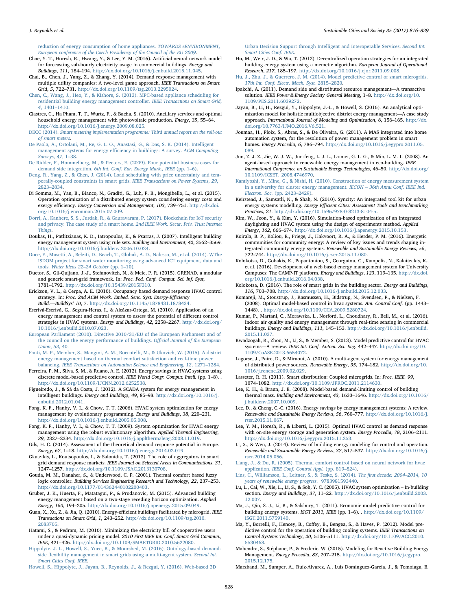[reduction of energy consumption of home appliances.](http://refhub.elsevier.com/S2210-6707(17)30135-X/sbref0080) TOWARDS eENVIRONMENT, [European conference of the Czech Presidency of the Council of the EU 2009](http://refhub.elsevier.com/S2210-6707(17)30135-X/sbref0080).

- <span id="page-12-21"></span>Chae, Y. T., Horesh, R., Hwang, Y., & Lee, Y. M. (2016). Artificial neural network model for forecasting sub-hourly electricity usage in commercial buildings. Energy and Buildings, 111, 184–194. <http://dx.doi.org/10.1016/j.enbuild.2015.11.045>.
- <span id="page-12-40"></span>Chai, B., Chen, J., Yang, Z., & Zhang, Y. (2014). Demand response management with multiple utility companies: A two-level game approach. IEEE Transactions on Smart Grid, 5, 722–731. <http://dx.doi.org/10.1109/tsg.2013.2295024>.
- <span id="page-12-11"></span>[Chen, C., Wang, J., Heo, Y., & Kishore, S. \(2013\). MPC-based appliance scheduling for](http://refhub.elsevier.com/S2210-6707(17)30135-X/sbref0095) [residential building energy management controller.](http://refhub.elsevier.com/S2210-6707(17)30135-X/sbref0095) IEEE Transactions on Smart Grid, 4[, 1401](http://refhub.elsevier.com/S2210-6707(17)30135-X/sbref0095)–1410.
- <span id="page-12-34"></span>Clastres, C., Ha Pham, T. T., Wurtz, F., & Bacha, S. (2010). Ancillary services and optimal household energy management with photovoltaic production. Energy, 35, 55–64. [http://dx.doi.org/10.1016/j.energy.2009.08.025.](http://dx.doi.org/10.1016/j.energy.2009.08.025)
- <span id="page-12-10"></span>DECC (2014). [Smart metering implementation programme: Third annual report on the roll-out](http://refhub.elsevier.com/S2210-6707(17)30135-X/sbref0105) [of smart meters](http://refhub.elsevier.com/S2210-6707(17)30135-X/sbref0105).
- <span id="page-12-9"></span>[De Paola, A., Ortolani, M., Re, G. L. O., Anastasi, G., & Das, S. K. \(2014\). Intelligent](http://refhub.elsevier.com/S2210-6707(17)30135-X/sbref0110) [management systems for energy e](http://refhub.elsevier.com/S2210-6707(17)30135-X/sbref0110)fficiency in buildings: A survey. ACM Computing [Surveys](http://refhub.elsevier.com/S2210-6707(17)30135-X/sbref0110), 47, 1–38.
- <span id="page-12-39"></span>[De Ridder, F., Hommelberg, M., & Peeters, E. \(2009\). Four potential business cases for](http://refhub.elsevier.com/S2210-6707(17)30135-X/sbref0115) demand side integration. [6th Int. Conf. Eur. Energy Mark., IEEE](http://refhub.elsevier.com/S2210-6707(17)30135-X/sbref0115) (pp. 1-6).
- <span id="page-12-33"></span>[Deng, R., Yang, Z., & Chen, J. \(2014\). Load scheduling with price uncertainty and tem](http://refhub.elsevier.com/S2210-6707(17)30135-X/sbref0120)[porally-coupled constraints in smart grids.](http://refhub.elsevier.com/S2210-6707(17)30135-X/sbref0120) IEEE Transactions on Power Systems, 29, 2823–[2834](http://refhub.elsevier.com/S2210-6707(17)30135-X/sbref0120).
- Di Somma, M., Yan, B., Bianco, N., Graditi, G., Luh, P. B., Mongibello, L., et al. (2015). Operation optimization of a distributed energy system considering energy costs and exergy efficiency. Energy Conversion and Management, 103, 739-751. [http://dx.doi.](http://dx.doi.org/10.1016/j.enconman.2015.07.009) [org/10.1016/j.enconman.2015.07.009.](http://dx.doi.org/10.1016/j.enconman.2015.07.009)
- <span id="page-12-54"></span>[Dorri, A., Kanhere, S. S., Jurdak, R., & Gauravaram, P. \(2017\). Blockchain for IoT security](http://refhub.elsevier.com/S2210-6707(17)30135-X/sbref0130) [and privacy: The case study of a smart home.](http://refhub.elsevier.com/S2210-6707(17)30135-X/sbref0130) 2nd IEEE Work. Secur. Priv. Trust Internet **[Things](http://refhub.elsevier.com/S2210-6707(17)30135-X/sbref0130)**
- <span id="page-12-20"></span>Doukas, H., Patlitzianas, K. D., Iatropoulos, K., & Psarras, J. (2007). Intelligent building energy management system using rule sets. Building and Environment, 42, 3562–3569. <http://dx.doi.org/10.1016/j.buildenv.2006.10.024>.
- <span id="page-12-46"></span>[Duce, E., Musetti, A., Belziti, D., Beach, T., Gluhak, A. D., Nalesso, M., et al. \(2014\). WThe](http://refhub.elsevier.com/S2210-6707(17)30135-X/sbref0140) [ISDOM project for smart water monitoring using advanced ICT equipment, data and](http://refhub.elsevier.com/S2210-6707(17)30135-X/sbref0140) tools. [Water Ideas 22](http://refhub.elsevier.com/S2210-6707(17)30135-X/sbref0140)–24 October (pp. 1–10).
- <span id="page-12-51"></span>Ductor, S., Gil-Quijano, J.-J., Stefanovitch, N., & Mele, P. R. (2015). GRENAD, a modular and generic smart-grid framework. In: Proc. Fed. Conf. Comput. Sci. Inf. Syst, 1781–1792. <http://dx.doi.org/10.15439/2015F310>.
- <span id="page-12-24"></span>Erickson, V. L., & Cerpa, A. E. (2010). Occupancy based demand response HVAC control strategy. In: Proc. 2nd ACM Work. Embed. Sens. Syst. Energy-Efficiency Build.—BuildSys' 10, 7. [http://dx.doi.org/10.1145/1878431.1878434.](http://dx.doi.org/10.1145/1878431.1878434)
- <span id="page-12-43"></span>Escrivá-Escrivá, G., Segura-Heras, I., & Alcázar-Ortega, M. (2010). Application of an energy management and control system to assess the potential of different control strategies in HVAC systems. Energy and Buildings, 42, 2258–2267. [http://dx.doi.org/](http://dx.doi.org/10.1016/j.enbuild.2010.07.023) [10.1016/j.enbuild.2010.07.023.](http://dx.doi.org/10.1016/j.enbuild.2010.07.023)
- <span id="page-12-0"></span>[European Parliament \(2010\). Directive 2010/31/EU of the European Parliament and of](http://refhub.elsevier.com/S2210-6707(17)30135-X/sbref0160) [the council on the energy performance of buildings.](http://refhub.elsevier.com/S2210-6707(17)30135-X/sbref0160) Official Journal of the European [Union](http://refhub.elsevier.com/S2210-6707(17)30135-X/sbref0160), 53, 40.
- <span id="page-12-38"></span>[Fanti, M. P., Member, S., Mangini, A. M., Roccotelli, M., & Ukovich, W. \(2015\). A district](http://refhub.elsevier.com/S2210-6707(17)30135-X/sbref0165) [energy management based on thermal comfort satisfaction and real-time power](http://refhub.elsevier.com/S2210-6707(17)30135-X/sbref0165) balancing. [IEEE Transactions on Automation Science and Engineering](http://refhub.elsevier.com/S2210-6707(17)30135-X/sbref0165), 12, 1271–1284.
- <span id="page-12-16"></span>Ferreira, P. M., Silva, S. M., & Ruano, A. E. (2012). Energy savings in HVAC systems using discrete model-based predictive control. IEEE World Congr. Comput. Intell. (pp. 1–8). . [http://dx.doi.org/10.1109/IJCNN.2012.6252538.](http://dx.doi.org/10.1109/IJCNN.2012.6252538)
- <span id="page-12-17"></span>Figueiredo, J., & Sá da Costa, J. (2012). A SCADA system for energy management in intelligent buildings. Energy and Buildings, 49, 85–98. [http://dx.doi.org/10.1016/j.](http://dx.doi.org/10.1016/j.enbuild.2012.01.041) [enbuild.2012.01.041.](http://dx.doi.org/10.1016/j.enbuild.2012.01.041)
- <span id="page-12-25"></span>Fong, K. F., Hanby, V. I., & Chow, T. T. (2006). HVAC system optimization for energy management by evolutionary programming. Energy and Buildings, 38, 220–231. <http://dx.doi.org/10.1016/j.enbuild.2005.05.008>.
- <span id="page-12-26"></span>Fong, K. F., Hanby, V. I., & Chow, T. T. (2009). System optimization for HVAC energy management using the robust evolutionary algorithm. Applied Thermal Engineering, 29, 2327–2334. [http://dx.doi.org/10.1016/j.applthermaleng.2008.11.019.](http://dx.doi.org/10.1016/j.applthermaleng.2008.11.019)
- <span id="page-12-6"></span>Gils, H. C. (2014). Assessment of the theoretical demand response potential in Europe. Energy, 67, 1–18. [http://dx.doi.org/10.1016/j.energy.2014.02.019.](http://dx.doi.org/10.1016/j.energy.2014.02.019)
- <span id="page-12-41"></span>Gkatzikis, L., Koutsopoulos, I., & Salonidis, T. (2013). The role of aggregators in smart grid demand response markets. IEEE Journal on Selected Areas in Communications, 31, 1247–1257. [http://dx.doi.org/10.1109/JSAC.2013130708.](http://dx.doi.org/10.1109/JSAC.2013130708)
- <span id="page-12-23"></span>Gouda, M. M., Danaher, S., & Underwood, C. P. (2001). Thermal comfort based fuzzy logic controller. Building Services Engineering Research and Technology, 22, 237–253. <http://dx.doi.org/10.1177/014362440102200403>.
- <span id="page-12-35"></span>Gruber, J. K., Huerta, F., Matatagui, P., & Prodanovic, M. (2015). Advanced building energy management based on a two-stage receding horizon optimization. Applied Energy, 160, 194–205. [http://dx.doi.org/10.1016/j.apenergy.2015.09.049.](http://dx.doi.org/10.1016/j.apenergy.2015.09.049)
- <span id="page-12-2"></span>Guan, X., Xu, Z., & Jia, Q. (2010). Energy-efficient buildings facilitated by microgrid. IEEE Transactions on Smart Grid, 1, 243–252. [http://dx.doi.org/10.1109/tsg.2010.](http://dx.doi.org/10.1109/tsg.2010.2083705) [2083705.](http://dx.doi.org/10.1109/tsg.2010.2083705)
- <span id="page-12-32"></span>Hatami, S., & Pedram, M. (2010). Minimizing the electricity bill of cooperative users under a quasi-dynamic pricing model. 2010 First IEEE Int. Conf. Smart Grid Commun., IEEE, 421–426. [http://dx.doi.org/10.1109/SMARTGRID.2010.5622080.](http://dx.doi.org/10.1109/SMARTGRID.2010.5622080)
- <span id="page-12-47"></span>[Hippolyte, J. L., Howell, S., Yuce, B., & Mourshed, M. \(2016\). Ontology-based demand](http://refhub.elsevier.com/S2210-6707(17)30135-X/sbref0220)side fl[exibility management in smart grids using a multi-agent system.](http://refhub.elsevier.com/S2210-6707(17)30135-X/sbref0220) Second Int. [Smart Cities Conf. IEEE](http://refhub.elsevier.com/S2210-6707(17)30135-X/sbref0220).
- <span id="page-12-48"></span>[Howell, S., Hippolyte, J., Jayan, B., Reynolds, J., & Rezgui, Y. \(2016\). Web-based 3D](http://refhub.elsevier.com/S2210-6707(17)30135-X/sbref0225)

[Urban Decision Support through Intelligent and Interoperable Services.](http://refhub.elsevier.com/S2210-6707(17)30135-X/sbref0225) Second Int. [Smart Cities Conf. IEEE](http://refhub.elsevier.com/S2210-6707(17)30135-X/sbref0225).

- <span id="page-12-1"></span>Hu, M., Weir, J. D., & Wu, T. (2012). Decentralized operation strategies for an integrated building energy system using a memetic algorithm. European Journal of Operational Research, 217, 185–197. [http://dx.doi.org/10.1016/j.ejor.2011.09.008.](http://dx.doi.org/10.1016/j.ejor.2011.09.008)
- <span id="page-12-36"></span>[Hu, J., Zhu, J., & Guerrero, J. M. \(2014\). Model predictive control of smart microgrids.](http://refhub.elsevier.com/S2210-6707(17)30135-X/sbref0235) [17th Int. Conf. Electr. Mach. Syst.](http://refhub.elsevier.com/S2210-6707(17)30135-X/sbref0235) 2815–2820.
- <span id="page-12-55"></span>Ipakchi, A. (2011). Demand side and distributed resource management—A transactive solution. IEEE Power & Energy Society General Meeting, 1–8. [http://dx.doi.org/10.](http://dx.doi.org/10.1109/PES.2011.6039272) [1109/PES.2011.6039272.](http://dx.doi.org/10.1109/PES.2011.6039272)
- <span id="page-12-37"></span>Jayan, B., Li, H., Rezgui, Y., Hippolyte, J.-L., & Howell, S. (2016). An analytical optimization model for holistic multiobjective district energy management—A case study approach. International Journal of Modeling and Optimization, 6, 156–165. [http://dx.](http://dx.doi.org/10.7763/IJMO.2016.V6.521) [doi.org/10.7763/IJMO.2016.V6.521.](http://dx.doi.org/10.7763/IJMO.2016.V6.521)
- <span id="page-12-50"></span>Joumaa, H., Ploix, S., Abras, S., & De Oliveira, G. (2011). A MAS integrated into home automation system, for the resolution of power management problem in smart homes. Energy Procedia, 6, 786–794. [http://dx.doi.org/10.1016/j.egypro.2011.05.](http://dx.doi.org/10.1016/j.egypro.2011.05.089) [089](http://dx.doi.org/10.1016/j.egypro.2011.05.089).
- <span id="page-12-52"></span>Jun, Z. J. Z., Jie, W. J. W., Jun-feng, L. J. L., La-mei, G. L. G., & Min, L. M. L. (2008). An agent-based approach to renewable energy management in eco-building. IEEE International Conference on Sustainable Energy Technologies, 46–50. [http://dx.doi.org/](http://dx.doi.org/10.1109/ICSET. 2008.4746970) [10.1109/ICSET. 2008.4746970](http://dx.doi.org/10.1109/ICSET. 2008.4746970).
- <span id="page-12-42"></span>[Kamiyoshi, Y., Mine, G., & Nishi, H. \(2010\). Construction of energy measurement system](http://refhub.elsevier.com/S2210-6707(17)30135-X/sbref0260) [in a university for cluster energy management.](http://refhub.elsevier.com/S2210-6707(17)30135-X/sbref0260) IECON – 36th Annu Conf. IEEE Ind. [Electron. Soc.](http://refhub.elsevier.com/S2210-6707(17)30135-X/sbref0260) (pp. 2423–2429).
- <span id="page-12-45"></span>Keirstead, J., Samsatli, N., & Shah, N. (2010). Syncity: An integrated tool kit for urban energy systems modelling. Energy Efficient Cities: Assessment Tools and Benchmarking Practices, 21. [http://dx.doi.org/10.1596/978-0-8213-8104-5.](http://dx.doi.org/10.1596/978-0-8213-8104-5)
- <span id="page-12-30"></span>Kim, W., Jeon, Y., & Kim, Y. (2016). Simulation-based optimization of an integrated daylighting and HVAC system using the design of experiments method. Applied Energy, 162, 666–674. [http://dx.doi.org/10.1016/j.apenergy.2015.10.153.](http://dx.doi.org/10.1016/j.apenergy.2015.10.153)
- <span id="page-12-5"></span>Koirala, B. P., Koliou, E., Friege, J., Hakvoort, R. A., & Herder, P. M. (2016). Energetic communities for community energy: A review of key issues and trends shaping integrated community energy systems. Renewable and Sustainable Energy Reviews, 56, 722–744. <http://dx.doi.org/10.1016/j.rser.2015.11.080>.
- <span id="page-12-44"></span>Kolokotsa, D., Gobakis, K., Papantoniou, S., Georgatou, C., Kampelis, N., Kalaitzakis, K., et al. (2016). Development of a web based energy management system for University Campuses: The CAMP-IT platform. Energy and Buildings, 123, 119–135. [http://dx.doi.](http://dx.doi.org/10.1016/j.enbuild.2016.04.038) [org/10.1016/j.enbuild.2016.04.038](http://dx.doi.org/10.1016/j.enbuild.2016.04.038).
- <span id="page-12-4"></span>Kolokotsa, D. (2016). The role of smart grids in the building sector. Energy and Buildings, 116, 703–708. <http://dx.doi.org/10.1016/j.enbuild.2015.12.033>.
- <span id="page-12-29"></span>Komareji, M., Stoustrup, J., Rasmussen, H., Bidstrup, N., Svendsen, P., & Nielsen, F. (2008). Optimal model-based control in hvac systems. Am. Control Conf. (pp. 1443– 1448). . <http://dx.doi.org/10.1109/CCA.2009.5280724>.
- <span id="page-12-8"></span>Kumar, P., Martani, C., Morawska, L., Norford, L., Choudhary, R., Bell, M., et al. (2016). Indoor air quality and energy management through real-time sensing in commercial buildings. Energy and Buildings, 111, 145–153. [http://dx.doi.org/10.1016/j.enbuild.](http://dx.doi.org/10.1016/j.enbuild.2015.11.037) [2015.11.037](http://dx.doi.org/10.1016/j.enbuild.2015.11.037).
- <span id="page-12-12"></span>Kwadzogah, R., Zhou, M., Li, S., & Member, S. (2013). Model predictive control for HVAC systems—A review. IEEE Int. Conf. Autom. Sci. Eng. 442–447. [http://dx.doi.org/10.](http://dx.doi.org/10.1109/CoASE.2013.6654072) [1109/CoASE.2013.6654072.](http://dx.doi.org/10.1109/CoASE.2013.6654072)
- <span id="page-12-49"></span>Lagorse, J., Paire, D., & Miraoui, A. (2010). A multi-agent system for energy management of distributed power sources. Renewable Energy, 35, 174–182. [http://dx.doi.org/10.](http://dx.doi.org/10.1016/j.renene.2009.02.029) [1016/j.renene.2009.02.029](http://dx.doi.org/10.1016/j.renene.2009.02.029).
- <span id="page-12-53"></span>Lasseter, R. H. (2011). Smart distribution: Coupled microgrids. In: Proc. IEEE. 99, 1074–1082. [http://dx.doi.org/10.1109/JPROC.2011.2114630.](http://dx.doi.org/10.1109/JPROC.2011.2114630)
- <span id="page-12-19"></span>Lee, K. H., & Braun, J. E. (2008). Model-based demand-limiting control of building thermal mass. Building and Environment, 43, 1633-1646. [http://dx.doi.org/10.1016/](http://dx.doi.org/10.1016/j.buildenv.2007.10.009) [j.buildenv.2007.10.009.](http://dx.doi.org/10.1016/j.buildenv.2007.10.009)
- <span id="page-12-7"></span>Lee, D., & Cheng, C.-C. (2016). Energy savings by energy management systems: A review. Renewable and Sustainable Energy Reviews, 56, 760–777. [http://dx.doi.org/10.1016/j.](http://dx.doi.org/10.1016/j.rser.2015.11.067) [rser.2015.11.067.](http://dx.doi.org/10.1016/j.rser.2015.11.067)
- <span id="page-12-18"></span>Lee, Y. M., Horesh, R., & Liberti, L. (2015). Optimal HVAC control as demand response with on-site energy storage and generation system. Energy Procedia, 78, 2106–2111. <http://dx.doi.org/10.1016/j.egypro.2015.11.253>.
- <span id="page-12-13"></span>Li, X., & Wen, J. (2014). Review of building energy modeling for control and operation. Renewable and Sustainable Energy Reviews, 37, 517–537. [http://dx.doi.org/10.1016/j.](http://dx.doi.org/10.1016/j.rser.2014.05.056) [rser.2014.05.056.](http://dx.doi.org/10.1016/j.rser.2014.05.056)
- <span id="page-12-22"></span>Liang, [J., & Du, R. \(2005\). Thermal comfort control based on neural network for hvac](http://refhub.elsevier.com/S2210-6707(17)30135-X/sbref0335) application. [IEEE Conf. Control Appl.](http://refhub.elsevier.com/S2210-6707(17)30135-X/sbref0335) (pp. 819–824).
- <span id="page-12-3"></span>[Lins, C., Williamson, L., Leitner, S., & Teske, S. \(2014\).](http://refhub.elsevier.com/S2210-6707(17)30135-X/sbref0340) The first decade: 2004–2014, 10 [years of renewable energy progress](http://refhub.elsevier.com/S2210-6707(17)30135-X/sbref0340). 9783981593440.
- <span id="page-12-28"></span>Lu, L., Cai, W., Xie, L., Li, S., & Soh, Y. C. (2005). HVAC system optimization – In-building section. Energy and Buildings, 37, 11–22. [http://dx.doi.org/10.1016/j.enbuild.2003.](http://dx.doi.org/10.1016/j.enbuild.2003.12.007) [12.007](http://dx.doi.org/10.1016/j.enbuild.2003.12.007).
- <span id="page-12-15"></span>Ma, J., Qin, S. J., Li, B., & Salsbury, T. (2011). Economic model predictive control for building energy systems. ISGT 2011, IEEE (pp. 1–6). . [http://dx.doi.org/10.1109/](http://dx.doi.org/10.1109/ISGT.2011.5759140) [ISGT.2011.5759140](http://dx.doi.org/10.1109/ISGT.2011.5759140).
- <span id="page-12-27"></span>Ma, Y., Borrelli, F., Hencey, B., Coffey, B., Bengea, S., & Haves, P. (2012). Model predictive control for the operation of building cooling systems. IEEE Transactions on Control Systems Technology, 20, 5106–5111. [http://dx.doi.org/10.1109/ACC.2010.](http://dx.doi.org/10.1109/ACC.2010.5530468) [5530468.](http://dx.doi.org/10.1109/ACC.2010.5530468)
- <span id="page-12-14"></span>Mahendra, S., Stéphane, P., & Frederic, W. (2015). Modeling for Reactive Building Energy Management. Energy Procedia, 83, 207–215. [http://dx.doi.org/10.1016/j.egypro.](http://dx.doi.org/10.1016/j.egypro.2015.12.175) [2015.12.175](http://dx.doi.org/10.1016/j.egypro.2015.12.175).
- <span id="page-12-31"></span>Marzband, M., Sumper, A., Ruiz-Alvarez, A., Luis Dominguez-Garcia, J., & Tomoiaga, B.